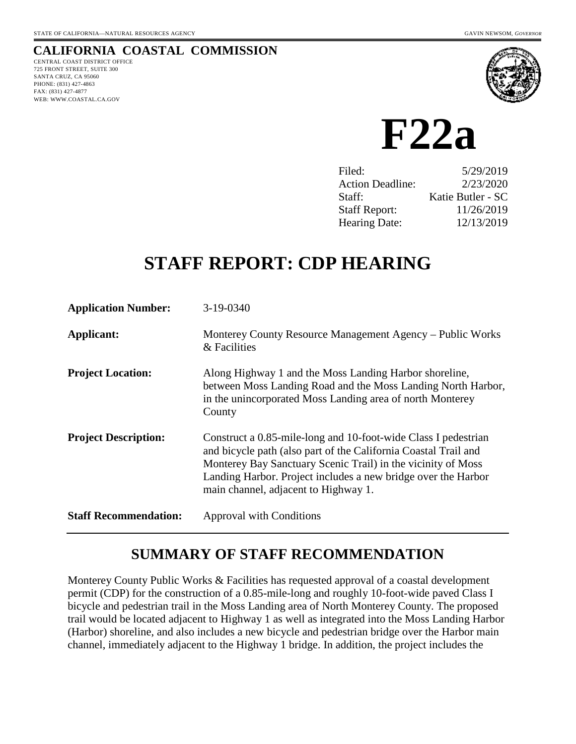# **CALIFORNIA COASTAL COMMISSION**

CENTRAL COAST DISTRICT OFFICE 725 FRONT STREET, SUITE 300 SANTA CRUZ, CA 95060 PHONE: (831) 427-4863 FAX: (831) 427-4877 WEB: WWW.COASTAL.CA.GOV



 **F22a** 

| Filed:                  | 5/29/2019         |
|-------------------------|-------------------|
| <b>Action Deadline:</b> | 2/23/2020         |
| Staff:                  | Katie Butler - SC |
| <b>Staff Report:</b>    | 11/26/2019        |
| <b>Hearing Date:</b>    | 12/13/2019        |

# **STAFF REPORT: CDP HEARING**

| <b>Application Number:</b>   | 3-19-0340                                                                                                                                                                                                                                                                                                  |
|------------------------------|------------------------------------------------------------------------------------------------------------------------------------------------------------------------------------------------------------------------------------------------------------------------------------------------------------|
| Applicant:                   | Monterey County Resource Management Agency – Public Works<br>& Facilities                                                                                                                                                                                                                                  |
| <b>Project Location:</b>     | Along Highway 1 and the Moss Landing Harbor shoreline,<br>between Moss Landing Road and the Moss Landing North Harbor,<br>in the unincorporated Moss Landing area of north Monterey<br>County                                                                                                              |
| <b>Project Description:</b>  | Construct a 0.85-mile-long and 10-foot-wide Class I pedestrian<br>and bicycle path (also part of the California Coastal Trail and<br>Monterey Bay Sanctuary Scenic Trail) in the vicinity of Moss<br>Landing Harbor. Project includes a new bridge over the Harbor<br>main channel, adjacent to Highway 1. |
| <b>Staff Recommendation:</b> | Approval with Conditions                                                                                                                                                                                                                                                                                   |

# **SUMMARY OF STAFF RECOMMENDATION**

Monterey County Public Works & Facilities has requested approval of a coastal development permit (CDP) for the construction of a 0.85-mile-long and roughly 10-foot-wide paved Class I bicycle and pedestrian trail in the Moss Landing area of North Monterey County. The proposed trail would be located adjacent to Highway 1 as well as integrated into the Moss Landing Harbor (Harbor) shoreline, and also includes a new bicycle and pedestrian bridge over the Harbor main channel, immediately adjacent to the Highway 1 bridge. In addition, the project includes the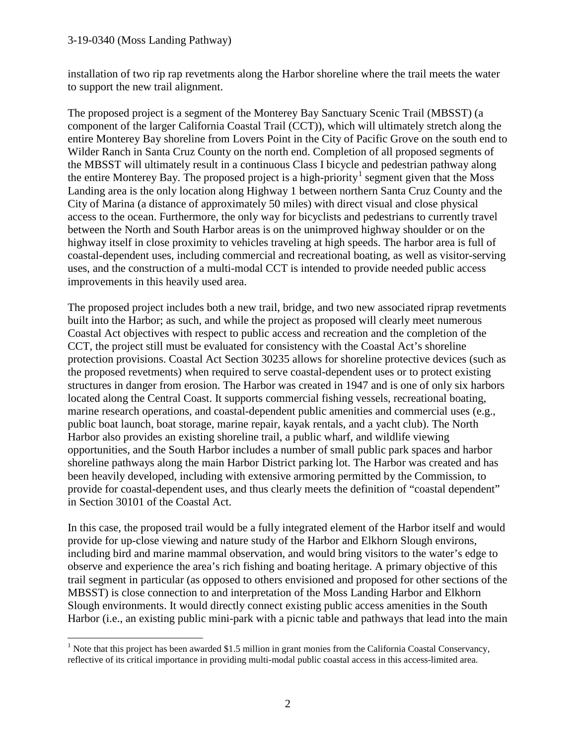#### 3-19-0340 (Moss Landing Pathway)

installation of two rip rap revetments along the Harbor shoreline where the trail meets the water to support the new trail alignment.

The proposed project is a segment of the Monterey Bay Sanctuary Scenic Trail (MBSST) (a component of the larger California Coastal Trail (CCT)), which will ultimately stretch along the entire Monterey Bay shoreline from Lovers Point in the City of Pacific Grove on the south end to Wilder Ranch in Santa Cruz County on the north end. Completion of all proposed segments of the MBSST will ultimately result in a continuous Class I bicycle and pedestrian pathway along the entire Monterey Bay. The proposed project is a high-priority<sup>[1](#page-1-0)</sup> segment given that the Moss Landing area is the only location along Highway 1 between northern Santa Cruz County and the City of Marina (a distance of approximately 50 miles) with direct visual and close physical access to the ocean. Furthermore, the only way for bicyclists and pedestrians to currently travel between the North and South Harbor areas is on the unimproved highway shoulder or on the highway itself in close proximity to vehicles traveling at high speeds. The harbor area is full of coastal-dependent uses, including commercial and recreational boating, as well as visitor-serving uses, and the construction of a multi-modal CCT is intended to provide needed public access improvements in this heavily used area.

The proposed project includes both a new trail, bridge, and two new associated riprap revetments built into the Harbor; as such, and while the project as proposed will clearly meet numerous Coastal Act objectives with respect to public access and recreation and the completion of the CCT, the project still must be evaluated for consistency with the Coastal Act's shoreline protection provisions. Coastal Act Section 30235 allows for shoreline protective devices (such as the proposed revetments) when required to serve coastal-dependent uses or to protect existing structures in danger from erosion. The Harbor was created in 1947 and is one of only six harbors located along the Central Coast. It supports commercial fishing vessels, recreational boating, marine research operations, and coastal-dependent public amenities and commercial uses (e.g., public boat launch, boat storage, marine repair, kayak rentals, and a yacht club). The North Harbor also provides an existing shoreline trail, a public wharf, and wildlife viewing opportunities, and the South Harbor includes a number of small public park spaces and harbor shoreline pathways along the main Harbor District parking lot. The Harbor was created and has been heavily developed, including with extensive armoring permitted by the Commission, to provide for coastal-dependent uses, and thus clearly meets the definition of "coastal dependent" in Section 30101 of the Coastal Act.

In this case, the proposed trail would be a fully integrated element of the Harbor itself and would provide for up-close viewing and nature study of the Harbor and Elkhorn Slough environs, including bird and marine mammal observation, and would bring visitors to the water's edge to observe and experience the area's rich fishing and boating heritage. A primary objective of this trail segment in particular (as opposed to others envisioned and proposed for other sections of the MBSST) is close connection to and interpretation of the Moss Landing Harbor and Elkhorn Slough environments. It would directly connect existing public access amenities in the South Harbor (i.e., an existing public mini-park with a picnic table and pathways that lead into the main

<span id="page-1-0"></span> $\overline{a}$ <sup>1</sup> Note that this project has been awarded \$1.5 million in grant monies from the California Coastal Conservancy, reflective of its critical importance in providing multi-modal public coastal access in this access-limited area.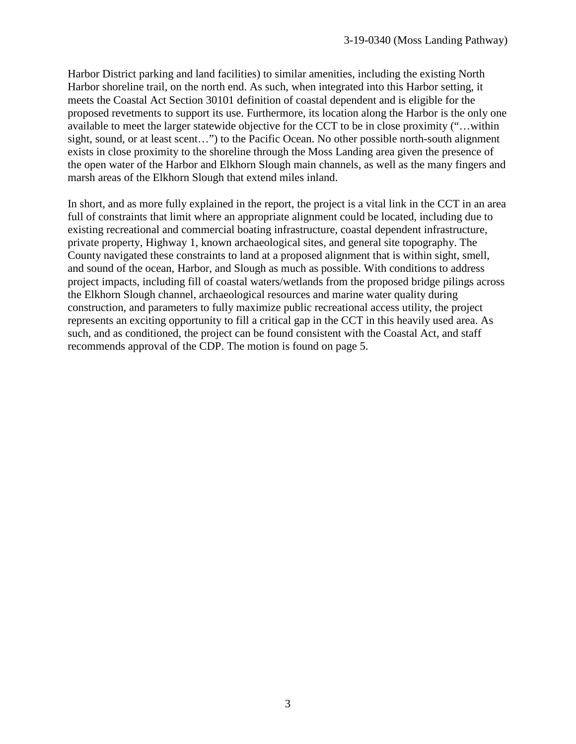Harbor District parking and land facilities) to similar amenities, including the existing North Harbor shoreline trail, on the north end. As such, when integrated into this Harbor setting, it meets the Coastal Act Section 30101 definition of coastal dependent and is eligible for the proposed revetments to support its use. Furthermore, its location along the Harbor is the only one available to meet the larger statewide objective for the CCT to be in close proximity ("…within sight, sound, or at least scent…") to the Pacific Ocean. No other possible north-south alignment exists in close proximity to the shoreline through the Moss Landing area given the presence of the open water of the Harbor and Elkhorn Slough main channels, as well as the many fingers and marsh areas of the Elkhorn Slough that extend miles inland.

In short, and as more fully explained in the report, the project is a vital link in the CCT in an area full of constraints that limit where an appropriate alignment could be located, including due to existing recreational and commercial boating infrastructure, coastal dependent infrastructure, private property, Highway 1, known archaeological sites, and general site topography. The County navigated these constraints to land at a proposed alignment that is within sight, smell, and sound of the ocean, Harbor, and Slough as much as possible. With conditions to address project impacts, including fill of coastal waters/wetlands from the proposed bridge pilings across the Elkhorn Slough channel, archaeological resources and marine water quality during construction, and parameters to fully maximize public recreational access utility, the project represents an exciting opportunity to fill a critical gap in the CCT in this heavily used area. As such, and as conditioned, the project can be found consistent with the Coastal Act, and staff recommends approval of the CDP. The motion is found on page 5.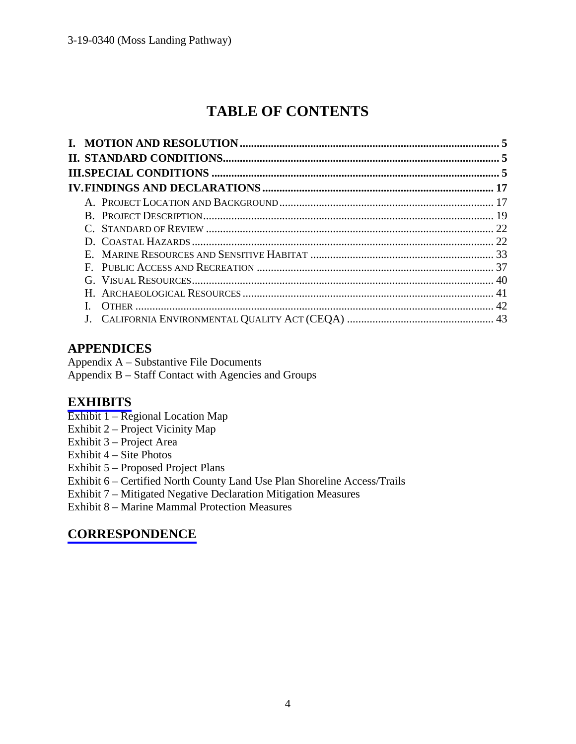# **TABLE OF CONTENTS**

# **APPENDICES**

Appendix A – Substantive File Documents Appendix B – Staff Contact with Agencies and Groups

# **[EXHIBITS](https://documents.coastal.ca.gov/reports/2019/12/f22a/f22a-12-2019-exhibits.pdf)**

- Exhibit 1 Regional Location Map
- Exhibit 2 Project Vicinity Map
- Exhibit 3 Project Area
- Exhibit 4 Site Photos
- Exhibit 5 Proposed Project Plans
- Exhibit 6 Certified North County Land Use Plan Shoreline Access/Trails
- Exhibit 7 Mitigated Negative Declaration Mitigation Measures

Exhibit 8 – Marine Mammal Protection Measures

# **[CORRESPONDENCE](https://documents.coastal.ca.gov/reports/2019/12/f22a/f22a-12-2019-corresp.pdf)**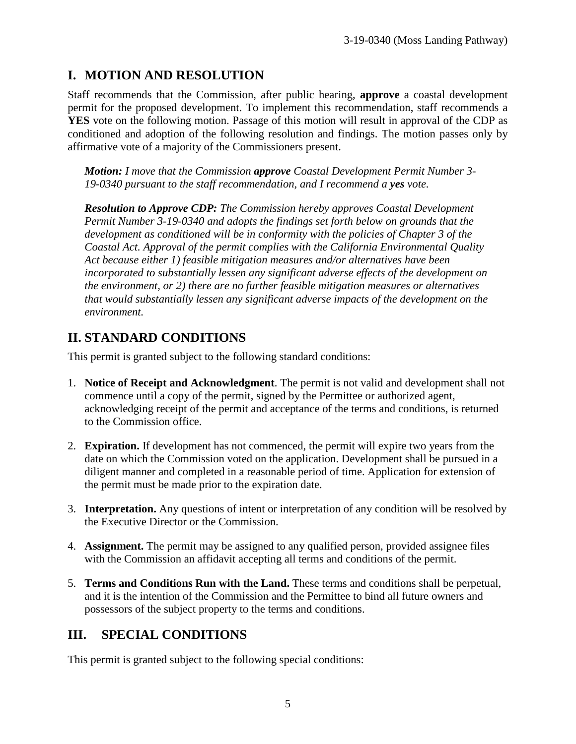# **I. MOTION AND RESOLUTION**

Staff recommends that the Commission, after public hearing, **approve** a coastal development permit for the proposed development. To implement this recommendation, staff recommends a **YES** vote on the following motion. Passage of this motion will result in approval of the CDP as conditioned and adoption of the following resolution and findings. The motion passes only by affirmative vote of a majority of the Commissioners present.

*Motion: I move that the Commission approve Coastal Development Permit Number 3- 19-0340 pursuant to the staff recommendation, and I recommend a yes vote.* 

*Resolution to Approve CDP: The Commission hereby approves Coastal Development Permit Number 3-19-0340 and adopts the findings set forth below on grounds that the development as conditioned will be in conformity with the policies of Chapter 3 of the Coastal Act. Approval of the permit complies with the California Environmental Quality Act because either 1) feasible mitigation measures and/or alternatives have been incorporated to substantially lessen any significant adverse effects of the development on the environment, or 2) there are no further feasible mitigation measures or alternatives that would substantially lessen any significant adverse impacts of the development on the environment.*

# **II. STANDARD CONDITIONS**

This permit is granted subject to the following standard conditions:

- 1. **Notice of Receipt and Acknowledgment**. The permit is not valid and development shall not commence until a copy of the permit, signed by the Permittee or authorized agent, acknowledging receipt of the permit and acceptance of the terms and conditions, is returned to the Commission office.
- 2. **Expiration.** If development has not commenced, the permit will expire two years from the date on which the Commission voted on the application. Development shall be pursued in a diligent manner and completed in a reasonable period of time. Application for extension of the permit must be made prior to the expiration date.
- 3. **Interpretation.** Any questions of intent or interpretation of any condition will be resolved by the Executive Director or the Commission.
- 4. **Assignment.** The permit may be assigned to any qualified person, provided assignee files with the Commission an affidavit accepting all terms and conditions of the permit.
- 5. **Terms and Conditions Run with the Land.** These terms and conditions shall be perpetual, and it is the intention of the Commission and the Permittee to bind all future owners and possessors of the subject property to the terms and conditions.

# **III. SPECIAL CONDITIONS**

This permit is granted subject to the following special conditions: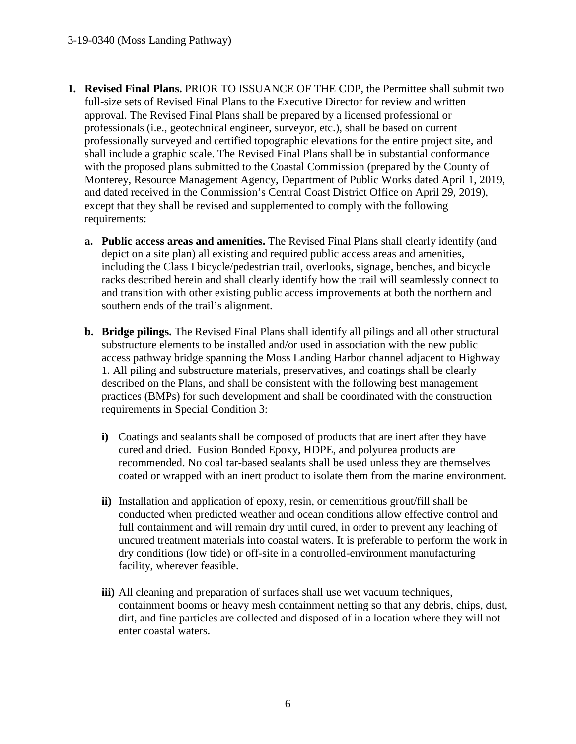- **1. Revised Final Plans.** PRIOR TO ISSUANCE OF THE CDP, the Permittee shall submit two full-size sets of Revised Final Plans to the Executive Director for review and written approval. The Revised Final Plans shall be prepared by a licensed professional or professionals (i.e., geotechnical engineer, surveyor, etc.), shall be based on current professionally surveyed and certified topographic elevations for the entire project site, and shall include a graphic scale. The Revised Final Plans shall be in substantial conformance with the proposed plans submitted to the Coastal Commission (prepared by the County of Monterey, Resource Management Agency, Department of Public Works dated April 1, 2019, and dated received in the Commission's Central Coast District Office on April 29, 2019), except that they shall be revised and supplemented to comply with the following requirements:
	- **a. Public access areas and amenities.** The Revised Final Plans shall clearly identify (and depict on a site plan) all existing and required public access areas and amenities, including the Class I bicycle/pedestrian trail, overlooks, signage, benches, and bicycle racks described herein and shall clearly identify how the trail will seamlessly connect to and transition with other existing public access improvements at both the northern and southern ends of the trail's alignment.
	- **b. Bridge pilings.** The Revised Final Plans shall identify all pilings and all other structural substructure elements to be installed and/or used in association with the new public access pathway bridge spanning the Moss Landing Harbor channel adjacent to Highway 1. All piling and substructure materials, preservatives, and coatings shall be clearly described on the Plans, and shall be consistent with the following best management practices (BMPs) for such development and shall be coordinated with the construction requirements in Special Condition 3:
		- **i)** Coatings and sealants shall be composed of products that are inert after they have cured and dried. Fusion Bonded Epoxy, HDPE, and polyurea products are recommended. No coal tar-based sealants shall be used unless they are themselves coated or wrapped with an inert product to isolate them from the marine environment.
		- **ii)** Installation and application of epoxy, resin, or cementitious grout/fill shall be conducted when predicted weather and ocean conditions allow effective control and full containment and will remain dry until cured, in order to prevent any leaching of uncured treatment materials into coastal waters. It is preferable to perform the work in dry conditions (low tide) or off-site in a controlled-environment manufacturing facility, wherever feasible.
		- **iii)** All cleaning and preparation of surfaces shall use wet vacuum techniques, containment booms or heavy mesh containment netting so that any debris, chips, dust, dirt, and fine particles are collected and disposed of in a location where they will not enter coastal waters.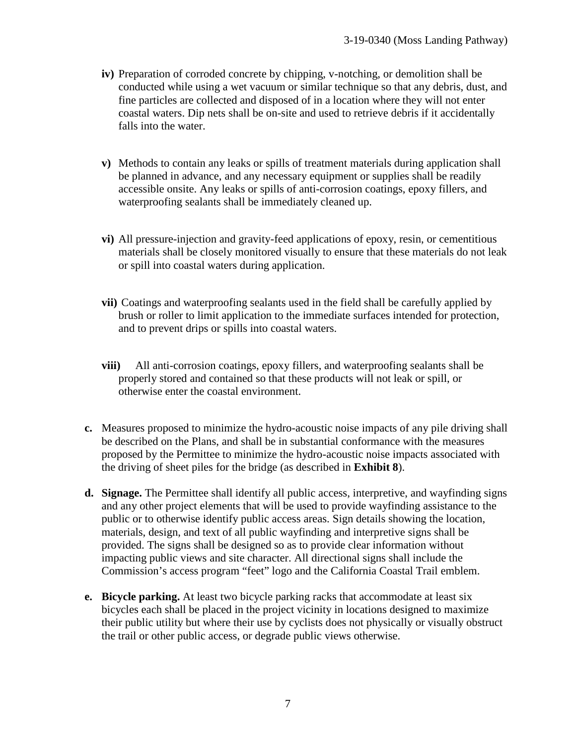- **iv)** Preparation of corroded concrete by chipping, v-notching, or demolition shall be conducted while using a wet vacuum or similar technique so that any debris, dust, and fine particles are collected and disposed of in a location where they will not enter coastal waters. Dip nets shall be on-site and used to retrieve debris if it accidentally falls into the water.
- **v)** Methods to contain any leaks or spills of treatment materials during application shall be planned in advance, and any necessary equipment or supplies shall be readily accessible onsite. Any leaks or spills of anti-corrosion coatings, epoxy fillers, and waterproofing sealants shall be immediately cleaned up.
- **vi)** All pressure-injection and gravity-feed applications of epoxy, resin, or cementitious materials shall be closely monitored visually to ensure that these materials do not leak or spill into coastal waters during application.
- **vii)** Coatings and waterproofing sealants used in the field shall be carefully applied by brush or roller to limit application to the immediate surfaces intended for protection, and to prevent drips or spills into coastal waters.
- **viii)** All anti-corrosion coatings, epoxy fillers, and waterproofing sealants shall be properly stored and contained so that these products will not leak or spill, or otherwise enter the coastal environment.
- **c.** Measures proposed to minimize the hydro-acoustic noise impacts of any pile driving shall be described on the Plans, and shall be in substantial conformance with the measures proposed by the Permittee to minimize the hydro-acoustic noise impacts associated with the driving of sheet piles for the bridge (as described in **Exhibit 8**).
- **d. Signage.** The Permittee shall identify all public access, interpretive, and wayfinding signs and any other project elements that will be used to provide wayfinding assistance to the public or to otherwise identify public access areas. Sign details showing the location, materials, design, and text of all public wayfinding and interpretive signs shall be provided. The signs shall be designed so as to provide clear information without impacting public views and site character. All directional signs shall include the Commission's access program "feet" logo and the California Coastal Trail emblem.
- **e. Bicycle parking.** At least two bicycle parking racks that accommodate at least six bicycles each shall be placed in the project vicinity in locations designed to maximize their public utility but where their use by cyclists does not physically or visually obstruct the trail or other public access, or degrade public views otherwise.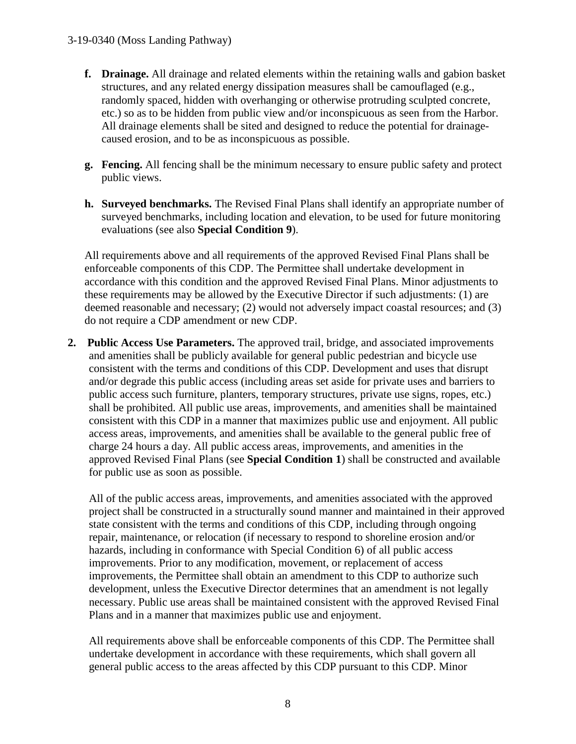- **f. Drainage.** All drainage and related elements within the retaining walls and gabion basket structures, and any related energy dissipation measures shall be camouflaged (e.g., randomly spaced, hidden with overhanging or otherwise protruding sculpted concrete, etc.) so as to be hidden from public view and/or inconspicuous as seen from the Harbor. All drainage elements shall be sited and designed to reduce the potential for drainagecaused erosion, and to be as inconspicuous as possible.
- **g. Fencing.** All fencing shall be the minimum necessary to ensure public safety and protect public views.
- **h. Surveyed benchmarks.** The Revised Final Plans shall identify an appropriate number of surveyed benchmarks, including location and elevation, to be used for future monitoring evaluations (see also **Special Condition 9**).

All requirements above and all requirements of the approved Revised Final Plans shall be enforceable components of this CDP. The Permittee shall undertake development in accordance with this condition and the approved Revised Final Plans. Minor adjustments to these requirements may be allowed by the Executive Director if such adjustments: (1) are deemed reasonable and necessary; (2) would not adversely impact coastal resources; and (3) do not require a CDP amendment or new CDP.

**2. Public Access Use Parameters.** The approved trail, bridge, and associated improvements and amenities shall be publicly available for general public pedestrian and bicycle use consistent with the terms and conditions of this CDP. Development and uses that disrupt and/or degrade this public access (including areas set aside for private uses and barriers to public access such furniture, planters, temporary structures, private use signs, ropes, etc.) shall be prohibited. All public use areas, improvements, and amenities shall be maintained consistent with this CDP in a manner that maximizes public use and enjoyment. All public access areas, improvements, and amenities shall be available to the general public free of charge 24 hours a day. All public access areas, improvements, and amenities in the approved Revised Final Plans (see **Special Condition 1**) shall be constructed and available for public use as soon as possible.

 All of the public access areas, improvements, and amenities associated with the approved project shall be constructed in a structurally sound manner and maintained in their approved state consistent with the terms and conditions of this CDP, including through ongoing repair, maintenance, or relocation (if necessary to respond to shoreline erosion and/or hazards, including in conformance with Special Condition 6) of all public access improvements. Prior to any modification, movement, or replacement of access improvements, the Permittee shall obtain an amendment to this CDP to authorize such development, unless the Executive Director determines that an amendment is not legally necessary. Public use areas shall be maintained consistent with the approved Revised Final Plans and in a manner that maximizes public use and enjoyment.

All requirements above shall be enforceable components of this CDP. The Permittee shall undertake development in accordance with these requirements, which shall govern all general public access to the areas affected by this CDP pursuant to this CDP. Minor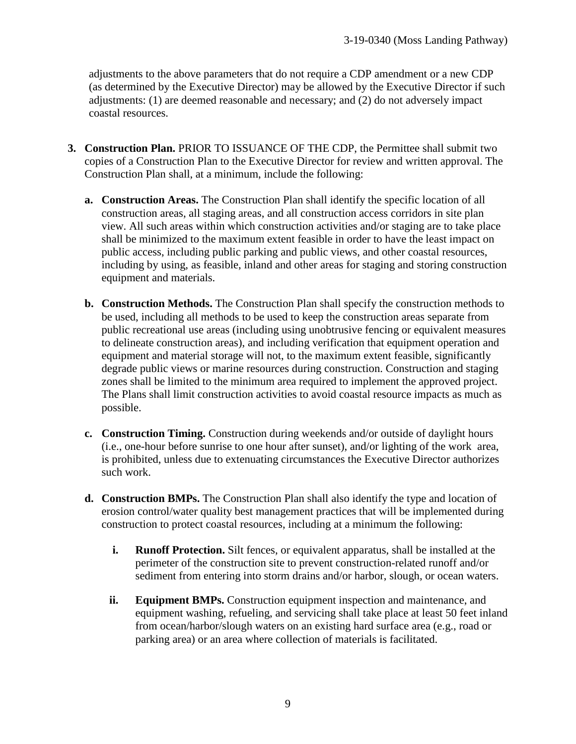adjustments to the above parameters that do not require a CDP amendment or a new CDP (as determined by the Executive Director) may be allowed by the Executive Director if such adjustments: (1) are deemed reasonable and necessary; and (2) do not adversely impact coastal resources.

- **3. Construction Plan.** PRIOR TO ISSUANCE OF THE CDP, the Permittee shall submit two copies of a Construction Plan to the Executive Director for review and written approval. The Construction Plan shall, at a minimum, include the following:
	- **a. Construction Areas.** The Construction Plan shall identify the specific location of all construction areas, all staging areas, and all construction access corridors in site plan view. All such areas within which construction activities and/or staging are to take place shall be minimized to the maximum extent feasible in order to have the least impact on public access, including public parking and public views, and other coastal resources, including by using, as feasible, inland and other areas for staging and storing construction equipment and materials.
	- **b. Construction Methods.** The Construction Plan shall specify the construction methods to be used, including all methods to be used to keep the construction areas separate from public recreational use areas (including using unobtrusive fencing or equivalent measures to delineate construction areas), and including verification that equipment operation and equipment and material storage will not, to the maximum extent feasible, significantly degrade public views or marine resources during construction. Construction and staging zones shall be limited to the minimum area required to implement the approved project. The Plans shall limit construction activities to avoid coastal resource impacts as much as possible.
	- **c. Construction Timing.** Construction during weekends and/or outside of daylight hours (i.e., one-hour before sunrise to one hour after sunset), and/or lighting of the work area, is prohibited, unless due to extenuating circumstances the Executive Director authorizes such work.
	- **d. Construction BMPs.** The Construction Plan shall also identify the type and location of erosion control/water quality best management practices that will be implemented during construction to protect coastal resources, including at a minimum the following:
		- **i. Runoff Protection.** Silt fences, or equivalent apparatus, shall be installed at the perimeter of the construction site to prevent construction-related runoff and/or sediment from entering into storm drains and/or harbor, slough, or ocean waters.
		- **ii. Equipment BMPs.** Construction equipment inspection and maintenance, and equipment washing, refueling, and servicing shall take place at least 50 feet inland from ocean/harbor/slough waters on an existing hard surface area (e.g., road or parking area) or an area where collection of materials is facilitated.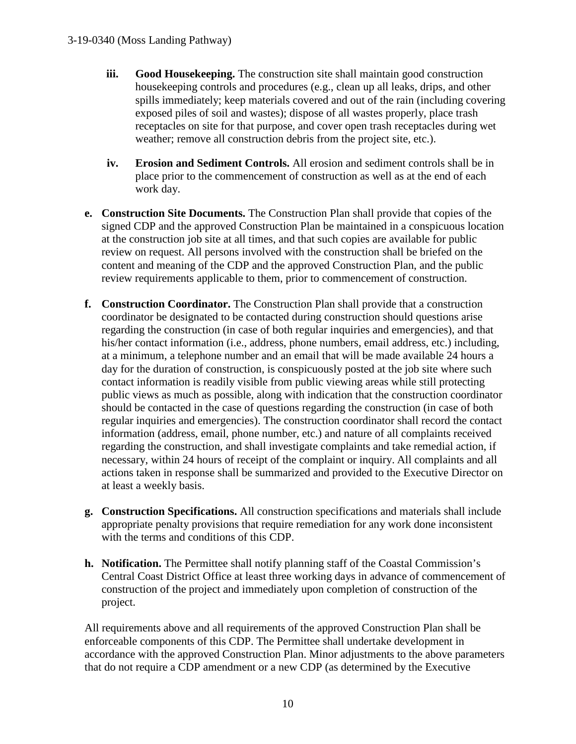- **iii. Good Housekeeping.** The construction site shall maintain good construction housekeeping controls and procedures (e.g., clean up all leaks, drips, and other spills immediately; keep materials covered and out of the rain (including covering exposed piles of soil and wastes); dispose of all wastes properly, place trash receptacles on site for that purpose, and cover open trash receptacles during wet weather; remove all construction debris from the project site, etc.).
- **iv. Erosion and Sediment Controls.** All erosion and sediment controls shall be in place prior to the commencement of construction as well as at the end of each work day.
- **e. Construction Site Documents.** The Construction Plan shall provide that copies of the signed CDP and the approved Construction Plan be maintained in a conspicuous location at the construction job site at all times, and that such copies are available for public review on request. All persons involved with the construction shall be briefed on the content and meaning of the CDP and the approved Construction Plan, and the public review requirements applicable to them, prior to commencement of construction.
- **f. Construction Coordinator.** The Construction Plan shall provide that a construction coordinator be designated to be contacted during construction should questions arise regarding the construction (in case of both regular inquiries and emergencies), and that his/her contact information (i.e., address, phone numbers, email address, etc.) including, at a minimum, a telephone number and an email that will be made available 24 hours a day for the duration of construction, is conspicuously posted at the job site where such contact information is readily visible from public viewing areas while still protecting public views as much as possible, along with indication that the construction coordinator should be contacted in the case of questions regarding the construction (in case of both regular inquiries and emergencies). The construction coordinator shall record the contact information (address, email, phone number, etc.) and nature of all complaints received regarding the construction, and shall investigate complaints and take remedial action, if necessary, within 24 hours of receipt of the complaint or inquiry. All complaints and all actions taken in response shall be summarized and provided to the Executive Director on at least a weekly basis.
- **g. Construction Specifications.** All construction specifications and materials shall include appropriate penalty provisions that require remediation for any work done inconsistent with the terms and conditions of this CDP.
- **h. Notification.** The Permittee shall notify planning staff of the Coastal Commission's Central Coast District Office at least three working days in advance of commencement of construction of the project and immediately upon completion of construction of the project.

All requirements above and all requirements of the approved Construction Plan shall be enforceable components of this CDP. The Permittee shall undertake development in accordance with the approved Construction Plan. Minor adjustments to the above parameters that do not require a CDP amendment or a new CDP (as determined by the Executive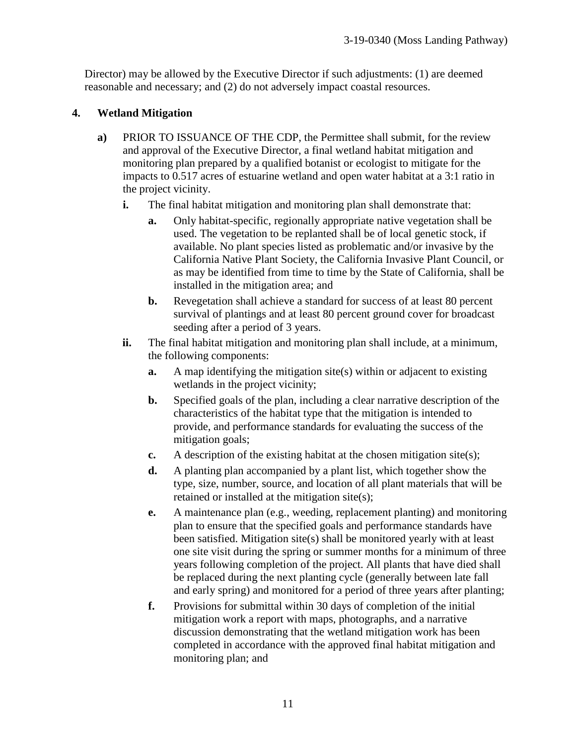Director) may be allowed by the Executive Director if such adjustments: (1) are deemed reasonable and necessary; and (2) do not adversely impact coastal resources.

# **4. Wetland Mitigation**

- **a)** PRIOR TO ISSUANCE OF THE CDP, the Permittee shall submit, for the review and approval of the Executive Director, a final wetland habitat mitigation and monitoring plan prepared by a qualified botanist or ecologist to mitigate for the impacts to 0.517 acres of estuarine wetland and open water habitat at a 3:1 ratio in the project vicinity.
	- **i.** The final habitat mitigation and monitoring plan shall demonstrate that:
		- **a.** Only habitat-specific, regionally appropriate native vegetation shall be used. The vegetation to be replanted shall be of local genetic stock, if available. No plant species listed as problematic and/or invasive by the California Native Plant Society, the California Invasive Plant Council, or as may be identified from time to time by the State of California, shall be installed in the mitigation area; and
		- **b.** Revegetation shall achieve a standard for success of at least 80 percent survival of plantings and at least 80 percent ground cover for broadcast seeding after a period of 3 years.
	- **ii.** The final habitat mitigation and monitoring plan shall include, at a minimum, the following components:
		- **a.** A map identifying the mitigation site(s) within or adjacent to existing wetlands in the project vicinity;
		- **b.** Specified goals of the plan, including a clear narrative description of the characteristics of the habitat type that the mitigation is intended to provide, and performance standards for evaluating the success of the mitigation goals;
		- **c.** A description of the existing habitat at the chosen mitigation site(s);
		- **d.** A planting plan accompanied by a plant list, which together show the type, size, number, source, and location of all plant materials that will be retained or installed at the mitigation site(s);
		- **e.** A maintenance plan (e.g., weeding, replacement planting) and monitoring plan to ensure that the specified goals and performance standards have been satisfied. Mitigation site(s) shall be monitored yearly with at least one site visit during the spring or summer months for a minimum of three years following completion of the project. All plants that have died shall be replaced during the next planting cycle (generally between late fall and early spring) and monitored for a period of three years after planting;
		- **f.** Provisions for submittal within 30 days of completion of the initial mitigation work a report with maps, photographs, and a narrative discussion demonstrating that the wetland mitigation work has been completed in accordance with the approved final habitat mitigation and monitoring plan; and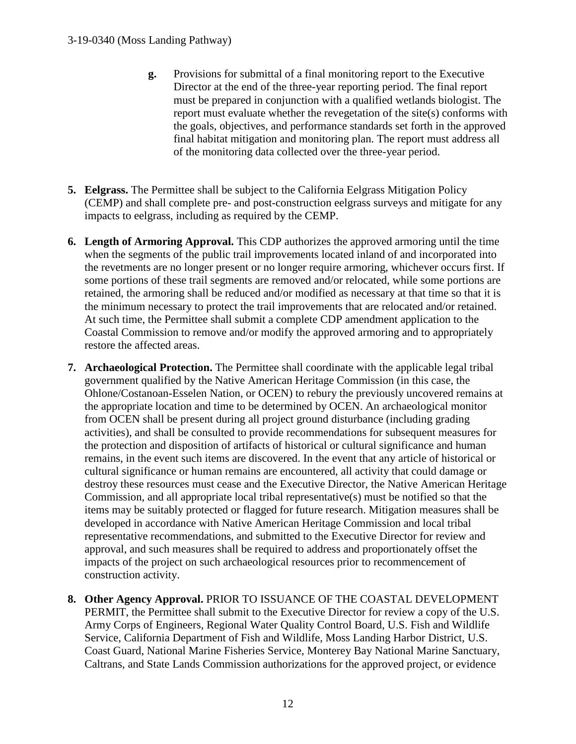- **g.** Provisions for submittal of a final monitoring report to the Executive Director at the end of the three-year reporting period. The final report must be prepared in conjunction with a qualified wetlands biologist. The report must evaluate whether the revegetation of the site(s) conforms with the goals, objectives, and performance standards set forth in the approved final habitat mitigation and monitoring plan. The report must address all of the monitoring data collected over the three-year period.
- **5. Eelgrass.** The Permittee shall be subject to the California Eelgrass Mitigation Policy (CEMP) and shall complete pre- and post-construction eelgrass surveys and mitigate for any impacts to eelgrass, including as required by the CEMP.
- **6. Length of Armoring Approval.** This CDP authorizes the approved armoring until the time when the segments of the public trail improvements located inland of and incorporated into the revetments are no longer present or no longer require armoring, whichever occurs first. If some portions of these trail segments are removed and/or relocated, while some portions are retained, the armoring shall be reduced and/or modified as necessary at that time so that it is the minimum necessary to protect the trail improvements that are relocated and/or retained. At such time, the Permittee shall submit a complete CDP amendment application to the Coastal Commission to remove and/or modify the approved armoring and to appropriately restore the affected areas.
- **7. Archaeological Protection.** The Permittee shall coordinate with the applicable legal tribal government qualified by the Native American Heritage Commission (in this case, the Ohlone/Costanoan-Esselen Nation, or OCEN) to rebury the previously uncovered remains at the appropriate location and time to be determined by OCEN. An archaeological monitor from OCEN shall be present during all project ground disturbance (including grading activities), and shall be consulted to provide recommendations for subsequent measures for the protection and disposition of artifacts of historical or cultural significance and human remains, in the event such items are discovered. In the event that any article of historical or cultural significance or human remains are encountered, all activity that could damage or destroy these resources must cease and the Executive Director, the Native American Heritage Commission, and all appropriate local tribal representative(s) must be notified so that the items may be suitably protected or flagged for future research. Mitigation measures shall be developed in accordance with Native American Heritage Commission and local tribal representative recommendations, and submitted to the Executive Director for review and approval, and such measures shall be required to address and proportionately offset the impacts of the project on such archaeological resources prior to recommencement of construction activity.
- **8. Other Agency Approval.** PRIOR TO ISSUANCE OF THE COASTAL DEVELOPMENT PERMIT, the Permittee shall submit to the Executive Director for review a copy of the U.S. Army Corps of Engineers, Regional Water Quality Control Board, U.S. Fish and Wildlife Service, California Department of Fish and Wildlife, Moss Landing Harbor District, U.S. Coast Guard, National Marine Fisheries Service, Monterey Bay National Marine Sanctuary, Caltrans, and State Lands Commission authorizations for the approved project, or evidence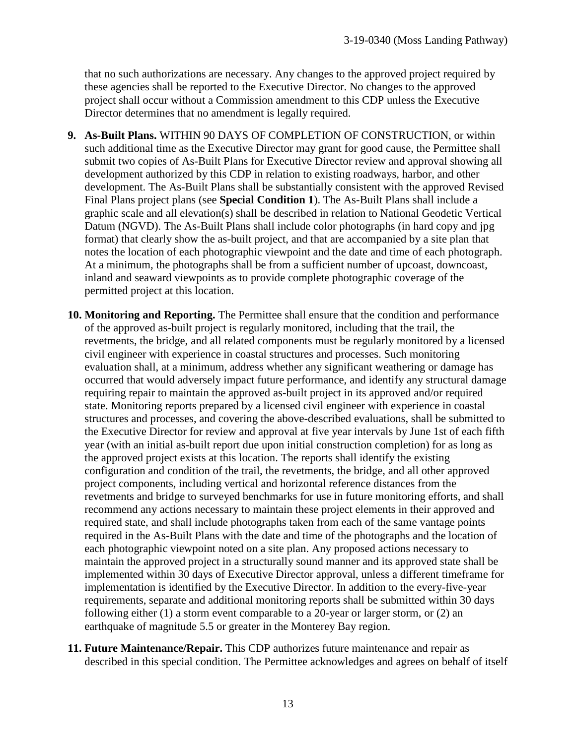that no such authorizations are necessary. Any changes to the approved project required by these agencies shall be reported to the Executive Director. No changes to the approved project shall occur without a Commission amendment to this CDP unless the Executive Director determines that no amendment is legally required.

- **9. As-Built Plans.** WITHIN 90 DAYS OF COMPLETION OF CONSTRUCTION, or within such additional time as the Executive Director may grant for good cause, the Permittee shall submit two copies of As-Built Plans for Executive Director review and approval showing all development authorized by this CDP in relation to existing roadways, harbor, and other development. The As-Built Plans shall be substantially consistent with the approved Revised Final Plans project plans (see **Special Condition 1**). The As-Built Plans shall include a graphic scale and all elevation(s) shall be described in relation to National Geodetic Vertical Datum (NGVD). The As-Built Plans shall include color photographs (in hard copy and jpg format) that clearly show the as-built project, and that are accompanied by a site plan that notes the location of each photographic viewpoint and the date and time of each photograph. At a minimum, the photographs shall be from a sufficient number of upcoast, downcoast, inland and seaward viewpoints as to provide complete photographic coverage of the permitted project at this location.
- **10. Monitoring and Reporting.** The Permittee shall ensure that the condition and performance of the approved as-built project is regularly monitored, including that the trail, the revetments, the bridge, and all related components must be regularly monitored by a licensed civil engineer with experience in coastal structures and processes. Such monitoring evaluation shall, at a minimum, address whether any significant weathering or damage has occurred that would adversely impact future performance, and identify any structural damage requiring repair to maintain the approved as-built project in its approved and/or required state. Monitoring reports prepared by a licensed civil engineer with experience in coastal structures and processes, and covering the above-described evaluations, shall be submitted to the Executive Director for review and approval at five year intervals by June 1st of each fifth year (with an initial as-built report due upon initial construction completion) for as long as the approved project exists at this location. The reports shall identify the existing configuration and condition of the trail, the revetments, the bridge, and all other approved project components, including vertical and horizontal reference distances from the revetments and bridge to surveyed benchmarks for use in future monitoring efforts, and shall recommend any actions necessary to maintain these project elements in their approved and required state, and shall include photographs taken from each of the same vantage points required in the As-Built Plans with the date and time of the photographs and the location of each photographic viewpoint noted on a site plan. Any proposed actions necessary to maintain the approved project in a structurally sound manner and its approved state shall be implemented within 30 days of Executive Director approval, unless a different timeframe for implementation is identified by the Executive Director. In addition to the every-five-year requirements, separate and additional monitoring reports shall be submitted within 30 days following either (1) a storm event comparable to a 20-year or larger storm, or (2) an earthquake of magnitude 5.5 or greater in the Monterey Bay region.
- **11. Future Maintenance/Repair.** This CDP authorizes future maintenance and repair as described in this special condition. The Permittee acknowledges and agrees on behalf of itself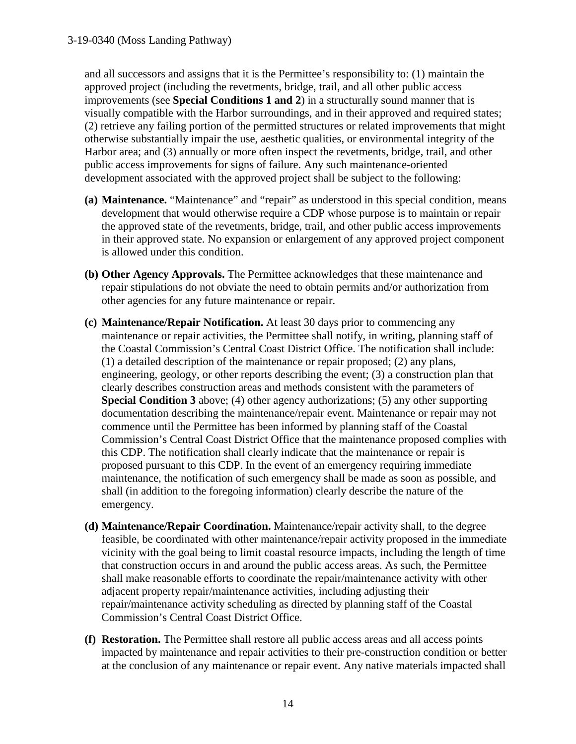and all successors and assigns that it is the Permittee's responsibility to: (1) maintain the approved project (including the revetments, bridge, trail, and all other public access improvements (see **Special Conditions 1 and 2**) in a structurally sound manner that is visually compatible with the Harbor surroundings, and in their approved and required states; (2) retrieve any failing portion of the permitted structures or related improvements that might otherwise substantially impair the use, aesthetic qualities, or environmental integrity of the Harbor area; and (3) annually or more often inspect the revetments, bridge, trail, and other public access improvements for signs of failure. Any such maintenance-oriented development associated with the approved project shall be subject to the following:

- **(a) Maintenance.** "Maintenance" and "repair" as understood in this special condition, means development that would otherwise require a CDP whose purpose is to maintain or repair the approved state of the revetments, bridge, trail, and other public access improvements in their approved state. No expansion or enlargement of any approved project component is allowed under this condition.
- **(b) Other Agency Approvals.** The Permittee acknowledges that these maintenance and repair stipulations do not obviate the need to obtain permits and/or authorization from other agencies for any future maintenance or repair.
- **(c) Maintenance/Repair Notification.** At least 30 days prior to commencing any maintenance or repair activities, the Permittee shall notify, in writing, planning staff of the Coastal Commission's Central Coast District Office. The notification shall include: (1) a detailed description of the maintenance or repair proposed; (2) any plans, engineering, geology, or other reports describing the event; (3) a construction plan that clearly describes construction areas and methods consistent with the parameters of **Special Condition 3** above; (4) other agency authorizations; (5) any other supporting documentation describing the maintenance/repair event. Maintenance or repair may not commence until the Permittee has been informed by planning staff of the Coastal Commission's Central Coast District Office that the maintenance proposed complies with this CDP. The notification shall clearly indicate that the maintenance or repair is proposed pursuant to this CDP. In the event of an emergency requiring immediate maintenance, the notification of such emergency shall be made as soon as possible, and shall (in addition to the foregoing information) clearly describe the nature of the emergency.
- **(d) Maintenance/Repair Coordination.** Maintenance/repair activity shall, to the degree feasible, be coordinated with other maintenance/repair activity proposed in the immediate vicinity with the goal being to limit coastal resource impacts, including the length of time that construction occurs in and around the public access areas. As such, the Permittee shall make reasonable efforts to coordinate the repair/maintenance activity with other adjacent property repair/maintenance activities, including adjusting their repair/maintenance activity scheduling as directed by planning staff of the Coastal Commission's Central Coast District Office.
- **(f) Restoration.** The Permittee shall restore all public access areas and all access points impacted by maintenance and repair activities to their pre-construction condition or better at the conclusion of any maintenance or repair event. Any native materials impacted shall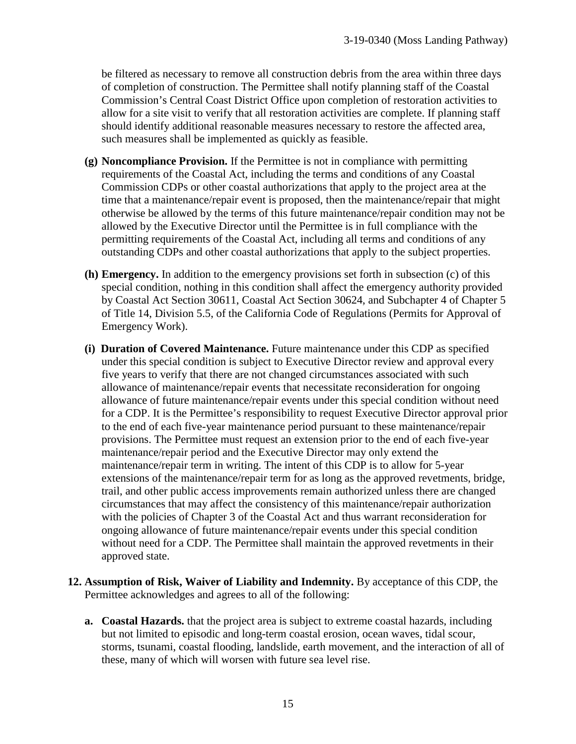be filtered as necessary to remove all construction debris from the area within three days of completion of construction. The Permittee shall notify planning staff of the Coastal Commission's Central Coast District Office upon completion of restoration activities to allow for a site visit to verify that all restoration activities are complete. If planning staff should identify additional reasonable measures necessary to restore the affected area, such measures shall be implemented as quickly as feasible.

- **(g) Noncompliance Provision.** If the Permittee is not in compliance with permitting requirements of the Coastal Act, including the terms and conditions of any Coastal Commission CDPs or other coastal authorizations that apply to the project area at the time that a maintenance/repair event is proposed, then the maintenance/repair that might otherwise be allowed by the terms of this future maintenance/repair condition may not be allowed by the Executive Director until the Permittee is in full compliance with the permitting requirements of the Coastal Act, including all terms and conditions of any outstanding CDPs and other coastal authorizations that apply to the subject properties.
- **(h) Emergency.** In addition to the emergency provisions set forth in subsection (c) of this special condition, nothing in this condition shall affect the emergency authority provided by Coastal Act Section 30611, Coastal Act Section 30624, and Subchapter 4 of Chapter 5 of Title 14, Division 5.5, of the California Code of Regulations (Permits for Approval of Emergency Work).
- **(i) Duration of Covered Maintenance.** Future maintenance under this CDP as specified under this special condition is subject to Executive Director review and approval every five years to verify that there are not changed circumstances associated with such allowance of maintenance/repair events that necessitate reconsideration for ongoing allowance of future maintenance/repair events under this special condition without need for a CDP. It is the Permittee's responsibility to request Executive Director approval prior to the end of each five-year maintenance period pursuant to these maintenance/repair provisions. The Permittee must request an extension prior to the end of each five-year maintenance/repair period and the Executive Director may only extend the maintenance/repair term in writing. The intent of this CDP is to allow for 5-year extensions of the maintenance/repair term for as long as the approved revetments, bridge, trail, and other public access improvements remain authorized unless there are changed circumstances that may affect the consistency of this maintenance/repair authorization with the policies of Chapter 3 of the Coastal Act and thus warrant reconsideration for ongoing allowance of future maintenance/repair events under this special condition without need for a CDP. The Permittee shall maintain the approved revetments in their approved state.
- **12. Assumption of Risk, Waiver of Liability and Indemnity.** By acceptance of this CDP, the Permittee acknowledges and agrees to all of the following:
	- **a. Coastal Hazards.** that the project area is subject to extreme coastal hazards, including but not limited to episodic and long-term coastal erosion, ocean waves, tidal scour, storms, tsunami, coastal flooding, landslide, earth movement, and the interaction of all of these, many of which will worsen with future sea level rise.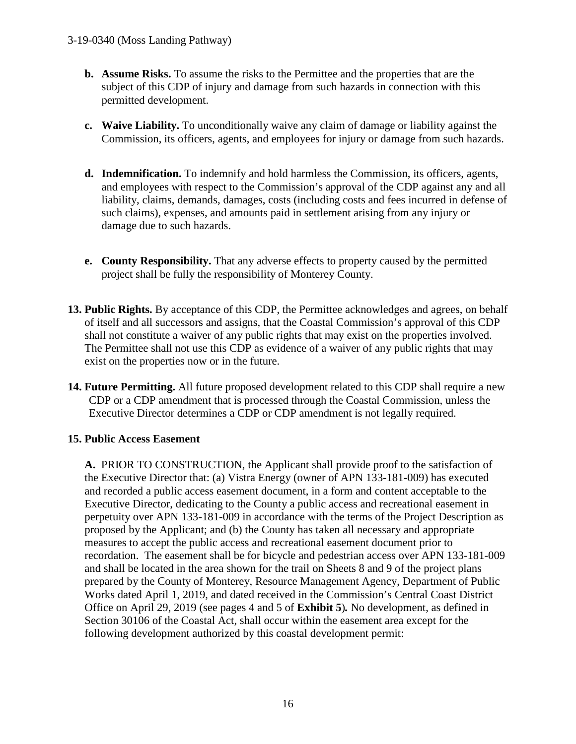- **b. Assume Risks.** To assume the risks to the Permittee and the properties that are the subject of this CDP of injury and damage from such hazards in connection with this permitted development.
- **c. Waive Liability.** To unconditionally waive any claim of damage or liability against the Commission, its officers, agents, and employees for injury or damage from such hazards.
- **d. Indemnification.** To indemnify and hold harmless the Commission, its officers, agents, and employees with respect to the Commission's approval of the CDP against any and all liability, claims, demands, damages, costs (including costs and fees incurred in defense of such claims), expenses, and amounts paid in settlement arising from any injury or damage due to such hazards.
- **e. County Responsibility.** That any adverse effects to property caused by the permitted project shall be fully the responsibility of Monterey County.
- **13. Public Rights.** By acceptance of this CDP, the Permittee acknowledges and agrees, on behalf of itself and all successors and assigns, that the Coastal Commission's approval of this CDP shall not constitute a waiver of any public rights that may exist on the properties involved. The Permittee shall not use this CDP as evidence of a waiver of any public rights that may exist on the properties now or in the future.
- **14. Future Permitting.** All future proposed development related to this CDP shall require a new CDP or a CDP amendment that is processed through the Coastal Commission, unless the Executive Director determines a CDP or CDP amendment is not legally required.

### **15. Public Access Easement**

**A.** PRIOR TO CONSTRUCTION, the Applicant shall provide proof to the satisfaction of the Executive Director that: (a) Vistra Energy (owner of APN 133-181-009) has executed and recorded a public access easement document, in a form and content acceptable to the Executive Director, dedicating to the County a public access and recreational easement in perpetuity over APN 133-181-009 in accordance with the terms of the Project Description as proposed by the Applicant; and (b) the County has taken all necessary and appropriate measures to accept the public access and recreational easement document prior to recordation. The easement shall be for bicycle and pedestrian access over APN 133-181-009 and shall be located in the area shown for the trail on Sheets 8 and 9 of the project plans prepared by the County of Monterey, Resource Management Agency, Department of Public Works dated April 1, 2019, and dated received in the Commission's Central Coast District Office on April 29, 2019 (see pages 4 and 5 of **Exhibit 5**)*.* No development, as defined in Section 30106 of the Coastal Act, shall occur within the easement area except for the following development authorized by this coastal development permit: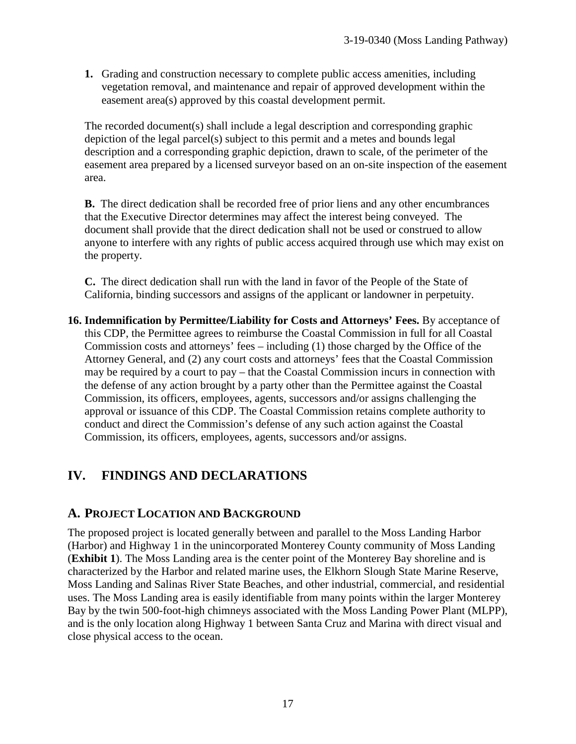**1.** Grading and construction necessary to complete public access amenities, including vegetation removal, and maintenance and repair of approved development within the easement area(s) approved by this coastal development permit.

The recorded document(s) shall include a legal description and corresponding graphic depiction of the legal parcel(s) subject to this permit and a metes and bounds legal description and a corresponding graphic depiction, drawn to scale, of the perimeter of the easement area prepared by a licensed surveyor based on an on-site inspection of the easement area.

**B.** The direct dedication shall be recorded free of prior liens and any other encumbrances that the Executive Director determines may affect the interest being conveyed. The document shall provide that the direct dedication shall not be used or construed to allow anyone to interfere with any rights of public access acquired through use which may exist on the property.

**C.** The direct dedication shall run with the land in favor of the People of the State of California, binding successors and assigns of the applicant or landowner in perpetuity.

**16. Indemnification by Permittee/Liability for Costs and Attorneys' Fees.** By acceptance of this CDP, the Permittee agrees to reimburse the Coastal Commission in full for all Coastal Commission costs and attorneys' fees – including (1) those charged by the Office of the Attorney General, and (2) any court costs and attorneys' fees that the Coastal Commission may be required by a court to pay – that the Coastal Commission incurs in connection with the defense of any action brought by a party other than the Permittee against the Coastal Commission, its officers, employees, agents, successors and/or assigns challenging the approval or issuance of this CDP. The Coastal Commission retains complete authority to conduct and direct the Commission's defense of any such action against the Coastal Commission, its officers, employees, agents, successors and/or assigns.

# **IV. FINDINGS AND DECLARATIONS**

# **A. PROJECT LOCATION AND BACKGROUND**

The proposed project is located generally between and parallel to the Moss Landing Harbor (Harbor) and Highway 1 in the unincorporated Monterey County community of Moss Landing (**Exhibit 1**). The Moss Landing area is the center point of the Monterey Bay shoreline and is characterized by the Harbor and related marine uses, the Elkhorn Slough State Marine Reserve, Moss Landing and Salinas River State Beaches, and other industrial, commercial, and residential uses. The Moss Landing area is easily identifiable from many points within the larger Monterey Bay by the twin 500-foot-high chimneys associated with the Moss Landing Power Plant (MLPP), and is the only location along Highway 1 between Santa Cruz and Marina with direct visual and close physical access to the ocean.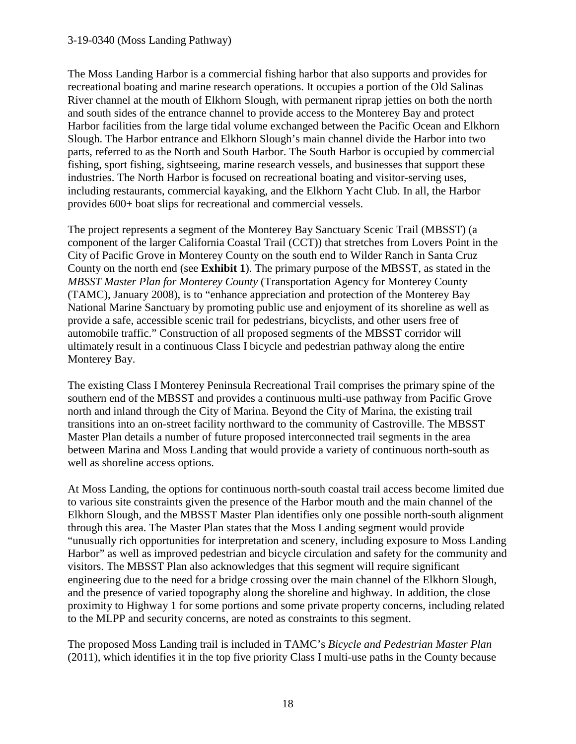#### 3-19-0340 (Moss Landing Pathway)

The Moss Landing Harbor is a commercial fishing harbor that also supports and provides for recreational boating and marine research operations. It occupies a portion of the Old Salinas River channel at the mouth of Elkhorn Slough, with permanent riprap jetties on both the north and south sides of the entrance channel to provide access to the Monterey Bay and protect Harbor facilities from the large tidal volume exchanged between the Pacific Ocean and Elkhorn Slough. The Harbor entrance and Elkhorn Slough's main channel divide the Harbor into two parts, referred to as the North and South Harbor. The South Harbor is occupied by commercial fishing, sport fishing, sightseeing, marine research vessels, and businesses that support these industries. The North Harbor is focused on recreational boating and visitor-serving uses, including restaurants, commercial kayaking, and the Elkhorn Yacht Club. In all, the Harbor provides 600+ boat slips for recreational and commercial vessels.

The project represents a segment of the Monterey Bay Sanctuary Scenic Trail (MBSST) (a component of the larger California Coastal Trail (CCT)) that stretches from Lovers Point in the City of Pacific Grove in Monterey County on the south end to Wilder Ranch in Santa Cruz County on the north end (see **Exhibit 1**). The primary purpose of the MBSST, as stated in the *MBSST Master Plan for Monterey County* (Transportation Agency for Monterey County (TAMC), January 2008), is to "enhance appreciation and protection of the Monterey Bay National Marine Sanctuary by promoting public use and enjoyment of its shoreline as well as provide a safe, accessible scenic trail for pedestrians, bicyclists, and other users free of automobile traffic." Construction of all proposed segments of the MBSST corridor will ultimately result in a continuous Class I bicycle and pedestrian pathway along the entire Monterey Bay.

The existing Class I Monterey Peninsula Recreational Trail comprises the primary spine of the southern end of the MBSST and provides a continuous multi-use pathway from Pacific Grove north and inland through the City of Marina. Beyond the City of Marina, the existing trail transitions into an on-street facility northward to the community of Castroville. The MBSST Master Plan details a number of future proposed interconnected trail segments in the area between Marina and Moss Landing that would provide a variety of continuous north-south as well as shoreline access options.

At Moss Landing, the options for continuous north-south coastal trail access become limited due to various site constraints given the presence of the Harbor mouth and the main channel of the Elkhorn Slough, and the MBSST Master Plan identifies only one possible north-south alignment through this area. The Master Plan states that the Moss Landing segment would provide "unusually rich opportunities for interpretation and scenery, including exposure to Moss Landing Harbor" as well as improved pedestrian and bicycle circulation and safety for the community and visitors. The MBSST Plan also acknowledges that this segment will require significant engineering due to the need for a bridge crossing over the main channel of the Elkhorn Slough, and the presence of varied topography along the shoreline and highway. In addition, the close proximity to Highway 1 for some portions and some private property concerns, including related to the MLPP and security concerns, are noted as constraints to this segment.

The proposed Moss Landing trail is included in TAMC's *Bicycle and Pedestrian Master Plan* (2011), which identifies it in the top five priority Class I multi-use paths in the County because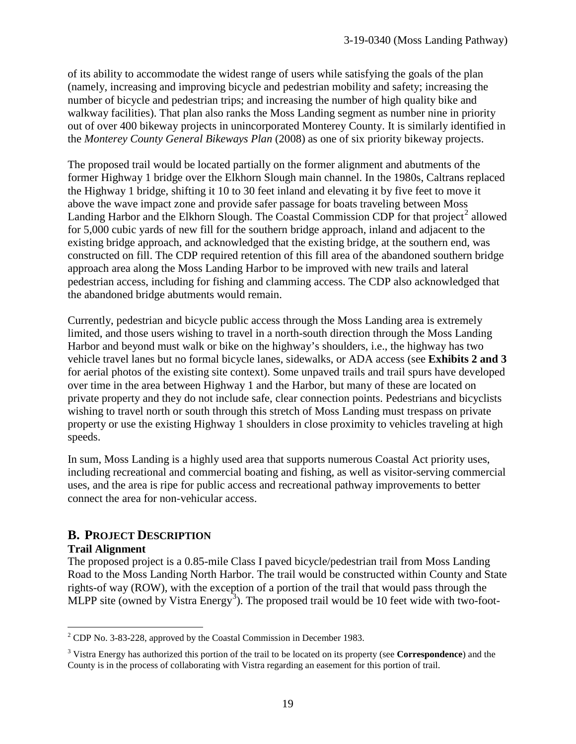of its ability to accommodate the widest range of users while satisfying the goals of the plan (namely, increasing and improving bicycle and pedestrian mobility and safety; increasing the number of bicycle and pedestrian trips; and increasing the number of high quality bike and walkway facilities). That plan also ranks the Moss Landing segment as number nine in priority out of over 400 bikeway projects in unincorporated Monterey County. It is similarly identified in the *Monterey County General Bikeways Plan* (2008) as one of six priority bikeway projects.

The proposed trail would be located partially on the former alignment and abutments of the former Highway 1 bridge over the Elkhorn Slough main channel. In the 1980s, Caltrans replaced the Highway 1 bridge, shifting it 10 to 30 feet inland and elevating it by five feet to move it above the wave impact zone and provide safer passage for boats traveling between Moss Landing Harbor and the Elkhorn Slough. The Coastal Commission CDP for that project<sup>[2](#page-18-0)</sup> allowed for 5,000 cubic yards of new fill for the southern bridge approach, inland and adjacent to the existing bridge approach, and acknowledged that the existing bridge, at the southern end, was constructed on fill. The CDP required retention of this fill area of the abandoned southern bridge approach area along the Moss Landing Harbor to be improved with new trails and lateral pedestrian access, including for fishing and clamming access. The CDP also acknowledged that the abandoned bridge abutments would remain.

Currently, pedestrian and bicycle public access through the Moss Landing area is extremely limited, and those users wishing to travel in a north-south direction through the Moss Landing Harbor and beyond must walk or bike on the highway's shoulders, i.e., the highway has two vehicle travel lanes but no formal bicycle lanes, sidewalks, or ADA access (see **Exhibits 2 and 3**  for aerial photos of the existing site context). Some unpaved trails and trail spurs have developed over time in the area between Highway 1 and the Harbor, but many of these are located on private property and they do not include safe, clear connection points. Pedestrians and bicyclists wishing to travel north or south through this stretch of Moss Landing must trespass on private property or use the existing Highway 1 shoulders in close proximity to vehicles traveling at high speeds.

In sum, Moss Landing is a highly used area that supports numerous Coastal Act priority uses, including recreational and commercial boating and fishing, as well as visitor-serving commercial uses, and the area is ripe for public access and recreational pathway improvements to better connect the area for non-vehicular access.

# **B. PROJECT DESCRIPTION**

### **Trail Alignment**

The proposed project is a 0.85-mile Class I paved bicycle/pedestrian trail from Moss Landing Road to the Moss Landing North Harbor. The trail would be constructed within County and State rights-of way (ROW), with the exception of a portion of the trail that would pass through the MLPP site (owned by Vistra Energy<sup>[3](#page-18-1)</sup>). The proposed trail would be 10 feet wide with two-foot-

<span id="page-18-0"></span> $\overline{a}$  $2^2$  CDP No. 3-83-228, approved by the Coastal Commission in December 1983.

<span id="page-18-1"></span><sup>3</sup> Vistra Energy has authorized this portion of the trail to be located on its property (see **Correspondence**) and the County is in the process of collaborating with Vistra regarding an easement for this portion of trail.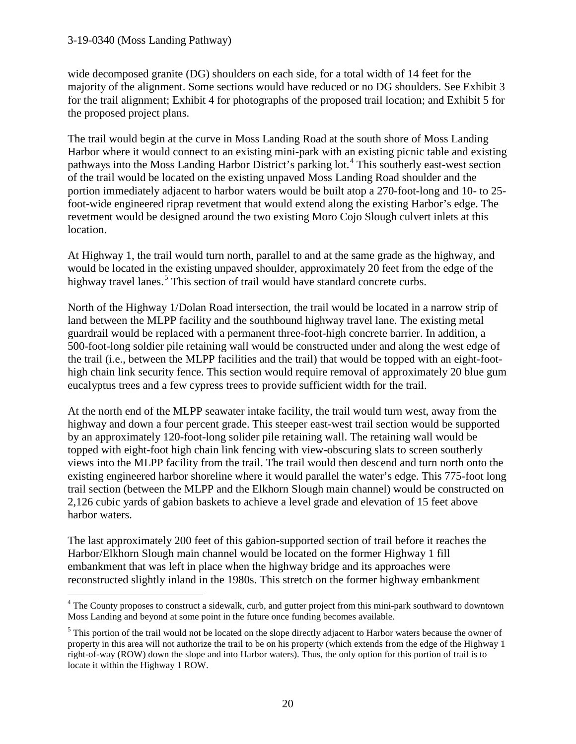#### 3-19-0340 (Moss Landing Pathway)

 $\overline{a}$ 

wide decomposed granite (DG) shoulders on each side, for a total width of 14 feet for the majority of the alignment. Some sections would have reduced or no DG shoulders. See Exhibit 3 for the trail alignment; Exhibit 4 for photographs of the proposed trail location; and Exhibit 5 for the proposed project plans.

The trail would begin at the curve in Moss Landing Road at the south shore of Moss Landing Harbor where it would connect to an existing mini-park with an existing picnic table and existing pathways into the Moss Landing Harbor District's parking lot.<sup>[4](#page-19-0)</sup> This southerly east-west section of the trail would be located on the existing unpaved Moss Landing Road shoulder and the portion immediately adjacent to harbor waters would be built atop a 270-foot-long and 10- to 25 foot-wide engineered riprap revetment that would extend along the existing Harbor's edge. The revetment would be designed around the two existing Moro Cojo Slough culvert inlets at this location.

At Highway 1, the trail would turn north, parallel to and at the same grade as the highway, and would be located in the existing unpaved shoulder, approximately 20 feet from the edge of the highway travel lanes.<sup>[5](#page-19-1)</sup> This section of trail would have standard concrete curbs.

North of the Highway 1/Dolan Road intersection, the trail would be located in a narrow strip of land between the MLPP facility and the southbound highway travel lane. The existing metal guardrail would be replaced with a permanent three-foot-high concrete barrier. In addition, a 500-foot-long soldier pile retaining wall would be constructed under and along the west edge of the trail (i.e., between the MLPP facilities and the trail) that would be topped with an eight-foothigh chain link security fence. This section would require removal of approximately 20 blue gum eucalyptus trees and a few cypress trees to provide sufficient width for the trail.

At the north end of the MLPP seawater intake facility, the trail would turn west, away from the highway and down a four percent grade. This steeper east-west trail section would be supported by an approximately 120-foot-long solider pile retaining wall. The retaining wall would be topped with eight-foot high chain link fencing with view-obscuring slats to screen southerly views into the MLPP facility from the trail. The trail would then descend and turn north onto the existing engineered harbor shoreline where it would parallel the water's edge. This 775-foot long trail section (between the MLPP and the Elkhorn Slough main channel) would be constructed on 2,126 cubic yards of gabion baskets to achieve a level grade and elevation of 15 feet above harbor waters.

The last approximately 200 feet of this gabion-supported section of trail before it reaches the Harbor/Elkhorn Slough main channel would be located on the former Highway 1 fill embankment that was left in place when the highway bridge and its approaches were reconstructed slightly inland in the 1980s. This stretch on the former highway embankment

<span id="page-19-0"></span><sup>&</sup>lt;sup>4</sup> The County proposes to construct a sidewalk, curb, and gutter project from this mini-park southward to downtown Moss Landing and beyond at some point in the future once funding becomes available.

<span id="page-19-1"></span><sup>&</sup>lt;sup>5</sup> This portion of the trail would not be located on the slope directly adjacent to Harbor waters because the owner of property in this area will not authorize the trail to be on his property (which extends from the edge of the Highway 1 right-of-way (ROW) down the slope and into Harbor waters). Thus, the only option for this portion of trail is to locate it within the Highway 1 ROW.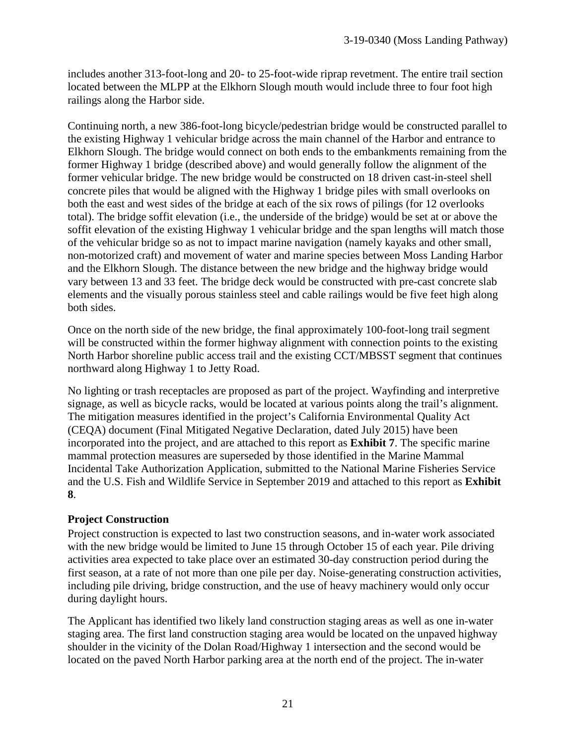includes another 313-foot-long and 20- to 25-foot-wide riprap revetment. The entire trail section located between the MLPP at the Elkhorn Slough mouth would include three to four foot high railings along the Harbor side.

Continuing north, a new 386-foot-long bicycle/pedestrian bridge would be constructed parallel to the existing Highway 1 vehicular bridge across the main channel of the Harbor and entrance to Elkhorn Slough. The bridge would connect on both ends to the embankments remaining from the former Highway 1 bridge (described above) and would generally follow the alignment of the former vehicular bridge. The new bridge would be constructed on 18 driven cast-in-steel shell concrete piles that would be aligned with the Highway 1 bridge piles with small overlooks on both the east and west sides of the bridge at each of the six rows of pilings (for 12 overlooks total). The bridge soffit elevation (i.e., the underside of the bridge) would be set at or above the soffit elevation of the existing Highway 1 vehicular bridge and the span lengths will match those of the vehicular bridge so as not to impact marine navigation (namely kayaks and other small, non-motorized craft) and movement of water and marine species between Moss Landing Harbor and the Elkhorn Slough. The distance between the new bridge and the highway bridge would vary between 13 and 33 feet. The bridge deck would be constructed with pre-cast concrete slab elements and the visually porous stainless steel and cable railings would be five feet high along both sides.

Once on the north side of the new bridge, the final approximately 100-foot-long trail segment will be constructed within the former highway alignment with connection points to the existing North Harbor shoreline public access trail and the existing CCT/MBSST segment that continues northward along Highway 1 to Jetty Road.

No lighting or trash receptacles are proposed as part of the project. Wayfinding and interpretive signage, as well as bicycle racks, would be located at various points along the trail's alignment. The mitigation measures identified in the project's California Environmental Quality Act (CEQA) document (Final Mitigated Negative Declaration, dated July 2015) have been incorporated into the project, and are attached to this report as **Exhibit 7**. The specific marine mammal protection measures are superseded by those identified in the Marine Mammal Incidental Take Authorization Application, submitted to the National Marine Fisheries Service and the U.S. Fish and Wildlife Service in September 2019 and attached to this report as **Exhibit 8**.

### **Project Construction**

Project construction is expected to last two construction seasons, and in-water work associated with the new bridge would be limited to June 15 through October 15 of each year. Pile driving activities area expected to take place over an estimated 30-day construction period during the first season, at a rate of not more than one pile per day. Noise-generating construction activities, including pile driving, bridge construction, and the use of heavy machinery would only occur during daylight hours.

The Applicant has identified two likely land construction staging areas as well as one in-water staging area. The first land construction staging area would be located on the unpaved highway shoulder in the vicinity of the Dolan Road/Highway 1 intersection and the second would be located on the paved North Harbor parking area at the north end of the project. The in-water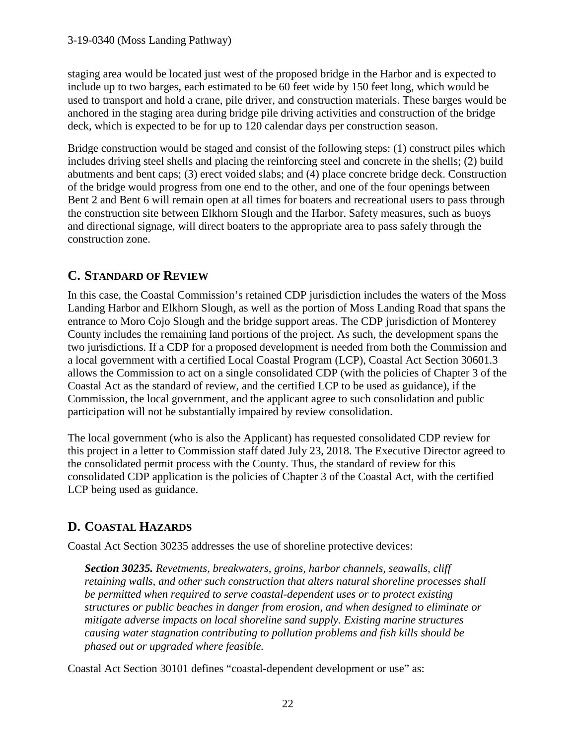staging area would be located just west of the proposed bridge in the Harbor and is expected to include up to two barges, each estimated to be 60 feet wide by 150 feet long, which would be used to transport and hold a crane, pile driver, and construction materials. These barges would be anchored in the staging area during bridge pile driving activities and construction of the bridge deck, which is expected to be for up to 120 calendar days per construction season.

Bridge construction would be staged and consist of the following steps: (1) construct piles which includes driving steel shells and placing the reinforcing steel and concrete in the shells; (2) build abutments and bent caps; (3) erect voided slabs; and (4) place concrete bridge deck. Construction of the bridge would progress from one end to the other, and one of the four openings between Bent 2 and Bent 6 will remain open at all times for boaters and recreational users to pass through the construction site between Elkhorn Slough and the Harbor. Safety measures, such as buoys and directional signage, will direct boaters to the appropriate area to pass safely through the construction zone.

# **C. STANDARD OF REVIEW**

In this case, the Coastal Commission's retained CDP jurisdiction includes the waters of the Moss Landing Harbor and Elkhorn Slough, as well as the portion of Moss Landing Road that spans the entrance to Moro Cojo Slough and the bridge support areas. The CDP jurisdiction of Monterey County includes the remaining land portions of the project. As such, the development spans the two jurisdictions. If a CDP for a proposed development is needed from both the Commission and a local government with a certified Local Coastal Program (LCP), Coastal Act Section 30601.3 allows the Commission to act on a single consolidated CDP (with the policies of Chapter 3 of the Coastal Act as the standard of review, and the certified LCP to be used as guidance), if the Commission, the local government, and the applicant agree to such consolidation and public participation will not be substantially impaired by review consolidation.

The local government (who is also the Applicant) has requested consolidated CDP review for this project in a letter to Commission staff dated July 23, 2018. The Executive Director agreed to the consolidated permit process with the County. Thus, the standard of review for this consolidated CDP application is the policies of Chapter 3 of the Coastal Act, with the certified LCP being used as guidance.

# **D. COASTAL HAZARDS**

Coastal Act Section 30235 addresses the use of shoreline protective devices:

*Section 30235. Revetments, breakwaters, groins, harbor channels, seawalls, cliff retaining walls, and other such construction that alters natural shoreline processes shall be permitted when required to serve coastal-dependent uses or to protect existing structures or public beaches in danger from erosion, and when designed to eliminate or mitigate adverse impacts on local shoreline sand supply. Existing marine structures causing water stagnation contributing to pollution problems and fish kills should be phased out or upgraded where feasible.* 

Coastal Act Section 30101 defines "coastal-dependent development or use" as: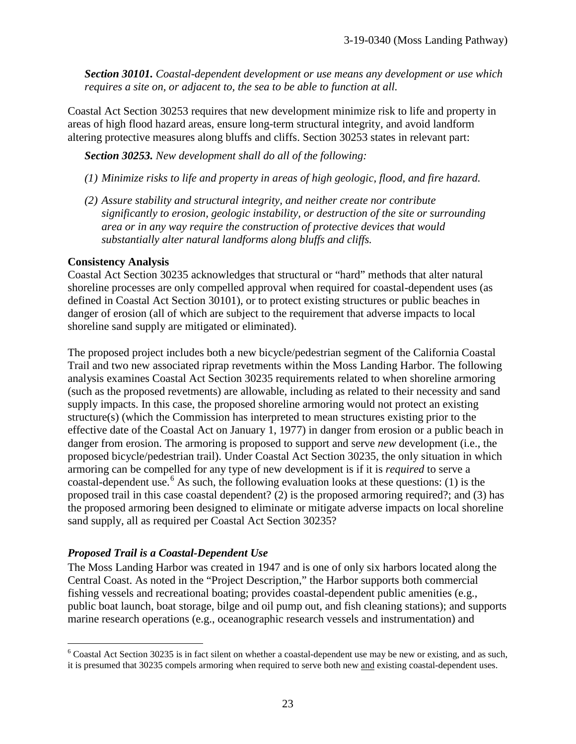*Section 30101. Coastal-dependent development or use means any development or use which requires a site on, or adjacent to, the sea to be able to function at all.* 

Coastal Act Section 30253 requires that new development minimize risk to life and property in areas of high flood hazard areas, ensure long-term structural integrity, and avoid landform altering protective measures along bluffs and cliffs. Section 30253 states in relevant part:

*Section 30253. New development shall do all of the following:* 

- *(1) Minimize risks to life and property in areas of high geologic, flood, and fire hazard.*
- *(2) Assure stability and structural integrity, and neither create nor contribute significantly to erosion, geologic instability, or destruction of the site or surrounding area or in any way require the construction of protective devices that would substantially alter natural landforms along bluffs and cliffs.*

#### **Consistency Analysis**

Coastal Act Section 30235 acknowledges that structural or "hard" methods that alter natural shoreline processes are only compelled approval when required for coastal-dependent uses (as defined in Coastal Act Section 30101), or to protect existing structures or public beaches in danger of erosion (all of which are subject to the requirement that adverse impacts to local shoreline sand supply are mitigated or eliminated).

The proposed project includes both a new bicycle/pedestrian segment of the California Coastal Trail and two new associated riprap revetments within the Moss Landing Harbor. The following analysis examines Coastal Act Section 30235 requirements related to when shoreline armoring (such as the proposed revetments) are allowable, including as related to their necessity and sand supply impacts. In this case, the proposed shoreline armoring would not protect an existing structure(s) (which the Commission has interpreted to mean structures existing prior to the effective date of the Coastal Act on January 1, 1977) in danger from erosion or a public beach in danger from erosion. The armoring is proposed to support and serve *new* development (i.e., the proposed bicycle/pedestrian trail). Under Coastal Act Section 30235, the only situation in which armoring can be compelled for any type of new development is if it is *required* to serve a coastal-dependent use.<sup>[6](#page-22-0)</sup> As such, the following evaluation looks at these questions: (1) is the proposed trail in this case coastal dependent? (2) is the proposed armoring required?; and (3) has the proposed armoring been designed to eliminate or mitigate adverse impacts on local shoreline sand supply, all as required per Coastal Act Section 30235?

### *Proposed Trail is a Coastal-Dependent Use*

The Moss Landing Harbor was created in 1947 and is one of only six harbors located along the Central Coast. As noted in the "Project Description," the Harbor supports both commercial fishing vessels and recreational boating; provides coastal-dependent public amenities (e.g., public boat launch, boat storage, bilge and oil pump out, and fish cleaning stations); and supports marine research operations (e.g., oceanographic research vessels and instrumentation) and

<span id="page-22-0"></span> $\overline{a}$  $6$  Coastal Act Section 30235 is in fact silent on whether a coastal-dependent use may be new or existing, and as such, it is presumed that 30235 compels armoring when required to serve both new and existing coastal-dependent uses.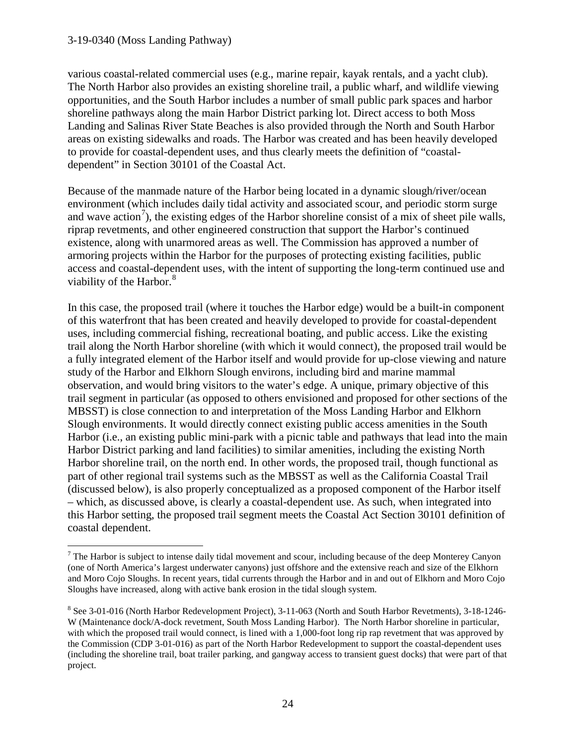#### 3-19-0340 (Moss Landing Pathway)

 $\overline{a}$ 

various coastal-related commercial uses (e.g., marine repair, kayak rentals, and a yacht club). The North Harbor also provides an existing shoreline trail, a public wharf, and wildlife viewing opportunities, and the South Harbor includes a number of small public park spaces and harbor shoreline pathways along the main Harbor District parking lot. Direct access to both Moss Landing and Salinas River State Beaches is also provided through the North and South Harbor areas on existing sidewalks and roads. The Harbor was created and has been heavily developed to provide for coastal-dependent uses, and thus clearly meets the definition of "coastaldependent" in Section 30101 of the Coastal Act.

Because of the manmade nature of the Harbor being located in a dynamic slough/river/ocean environment (which includes daily tidal activity and associated scour, and periodic storm surge and wave action<sup>[7](#page-23-0)</sup>), the existing edges of the Harbor shoreline consist of a mix of sheet pile walls, riprap revetments, and other engineered construction that support the Harbor's continued existence, along with unarmored areas as well. The Commission has approved a number of armoring projects within the Harbor for the purposes of protecting existing facilities, public access and coastal-dependent uses, with the intent of supporting the long-term continued use and viability of the Harbor.<sup>[8](#page-23-1)</sup>

In this case, the proposed trail (where it touches the Harbor edge) would be a built-in component of this waterfront that has been created and heavily developed to provide for coastal-dependent uses, including commercial fishing, recreational boating, and public access. Like the existing trail along the North Harbor shoreline (with which it would connect), the proposed trail would be a fully integrated element of the Harbor itself and would provide for up-close viewing and nature study of the Harbor and Elkhorn Slough environs, including bird and marine mammal observation, and would bring visitors to the water's edge. A unique, primary objective of this trail segment in particular (as opposed to others envisioned and proposed for other sections of the MBSST) is close connection to and interpretation of the Moss Landing Harbor and Elkhorn Slough environments. It would directly connect existing public access amenities in the South Harbor (i.e., an existing public mini-park with a picnic table and pathways that lead into the main Harbor District parking and land facilities) to similar amenities, including the existing North Harbor shoreline trail, on the north end. In other words, the proposed trail, though functional as part of other regional trail systems such as the MBSST as well as the California Coastal Trail (discussed below), is also properly conceptualized as a proposed component of the Harbor itself – which, as discussed above, is clearly a coastal-dependent use. As such, when integrated into this Harbor setting, the proposed trail segment meets the Coastal Act Section 30101 definition of coastal dependent.

<span id="page-23-0"></span> $<sup>7</sup>$  The Harbor is subject to intense daily tidal movement and scour, including because of the deep Monterey Canyon</sup> (one of North America's largest underwater canyons) just offshore and the extensive reach and size of the Elkhorn and Moro Cojo Sloughs. In recent years, tidal currents through the Harbor and in and out of Elkhorn and Moro Cojo Sloughs have increased, along with active bank erosion in the tidal slough system.

<span id="page-23-1"></span><sup>8</sup> See 3-01-016 (North Harbor Redevelopment Project), 3-11-063 (North and South Harbor Revetments), 3-18-1246- W (Maintenance dock/A-dock revetment, South Moss Landing Harbor). The North Harbor shoreline in particular, with which the proposed trail would connect, is lined with a 1,000-foot long rip rap revetment that was approved by the Commission (CDP 3-01-016) as part of the North Harbor Redevelopment to support the coastal-dependent uses (including the shoreline trail, boat trailer parking, and gangway access to transient guest docks) that were part of that project.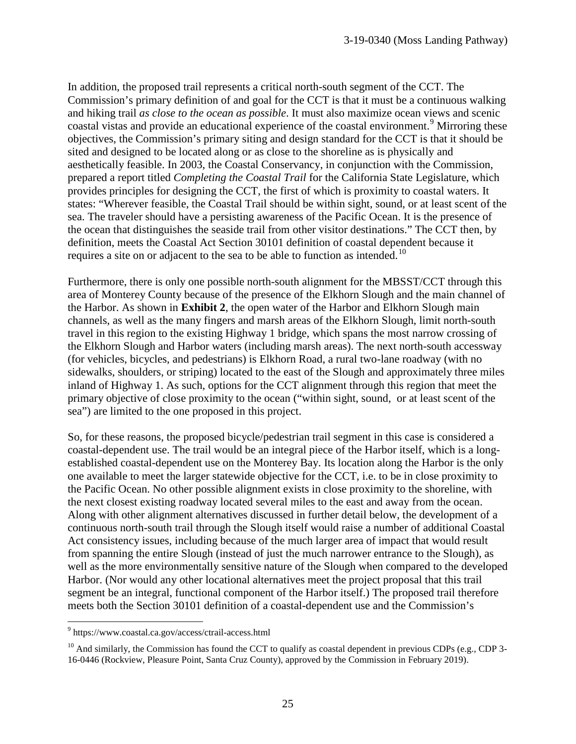In addition, the proposed trail represents a critical north-south segment of the CCT. The Commission's primary definition of and goal for the CCT is that it must be a continuous walking and hiking trail *as close to the ocean as possible*. It must also maximize ocean views and scenic coastal vistas and provide an educational experience of the coastal environment.<sup>[9](#page-24-0)</sup> Mirroring these objectives, the Commission's primary siting and design standard for the CCT is that it should be sited and designed to be located along or as close to the shoreline as is physically and aesthetically feasible. In 2003, the Coastal Conservancy, in conjunction with the Commission, prepared a report titled *Completing the Coastal Trail* for the California State Legislature, which provides principles for designing the CCT, the first of which is proximity to coastal waters. It states: "Wherever feasible, the Coastal Trail should be within sight, sound, or at least scent of the sea. The traveler should have a persisting awareness of the Pacific Ocean. It is the presence of the ocean that distinguishes the seaside trail from other visitor destinations." The CCT then, by definition, meets the Coastal Act Section 30101 definition of coastal dependent because it requires a site on or adjacent to the sea to be able to function as intended.<sup>10</sup>

Furthermore, there is only one possible north-south alignment for the MBSST/CCT through this area of Monterey County because of the presence of the Elkhorn Slough and the main channel of the Harbor. As shown in **Exhibit 2**, the open water of the Harbor and Elkhorn Slough main channels, as well as the many fingers and marsh areas of the Elkhorn Slough, limit north-south travel in this region to the existing Highway 1 bridge, which spans the most narrow crossing of the Elkhorn Slough and Harbor waters (including marsh areas). The next north-south accessway (for vehicles, bicycles, and pedestrians) is Elkhorn Road, a rural two-lane roadway (with no sidewalks, shoulders, or striping) located to the east of the Slough and approximately three miles inland of Highway 1. As such, options for the CCT alignment through this region that meet the primary objective of close proximity to the ocean ("within sight, sound, or at least scent of the sea") are limited to the one proposed in this project.

So, for these reasons, the proposed bicycle/pedestrian trail segment in this case is considered a coastal-dependent use. The trail would be an integral piece of the Harbor itself, which is a longestablished coastal-dependent use on the Monterey Bay. Its location along the Harbor is the only one available to meet the larger statewide objective for the CCT, i.e. to be in close proximity to the Pacific Ocean. No other possible alignment exists in close proximity to the shoreline, with the next closest existing roadway located several miles to the east and away from the ocean. Along with other alignment alternatives discussed in further detail below, the development of a continuous north-south trail through the Slough itself would raise a number of additional Coastal Act consistency issues, including because of the much larger area of impact that would result from spanning the entire Slough (instead of just the much narrower entrance to the Slough), as well as the more environmentally sensitive nature of the Slough when compared to the developed Harbor. (Nor would any other locational alternatives meet the project proposal that this trail segment be an integral, functional component of the Harbor itself.) The proposed trail therefore meets both the Section 30101 definition of a coastal-dependent use and the Commission's

 $\overline{a}$ 

<span id="page-24-0"></span><sup>9</sup> https://www.coastal.ca.gov/access/ctrail-access.html

<span id="page-24-1"></span> $10$  And similarly, the Commission has found the CCT to qualify as coastal dependent in previous CDPs (e.g., CDP 3-16-0446 (Rockview, Pleasure Point, Santa Cruz County), approved by the Commission in February 2019).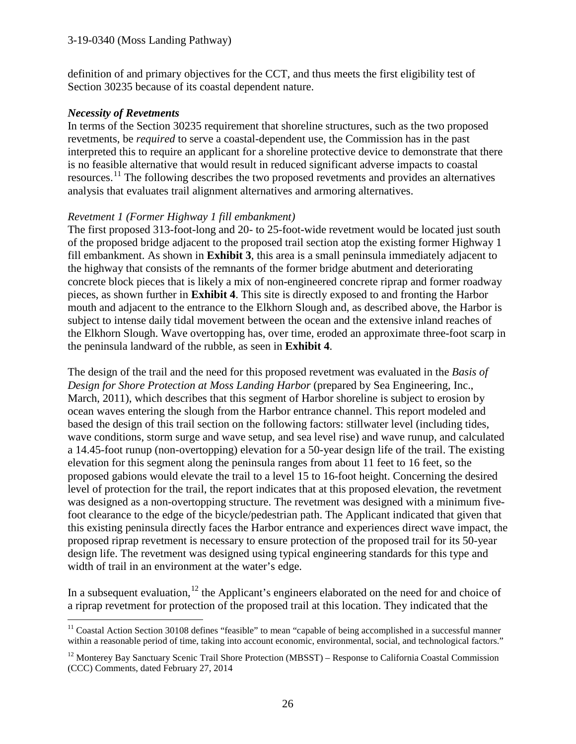definition of and primary objectives for the CCT, and thus meets the first eligibility test of Section 30235 because of its coastal dependent nature.

#### *Necessity of Revetments*

 $\overline{a}$ 

In terms of the Section 30235 requirement that shoreline structures, such as the two proposed revetments, be *required* to serve a coastal-dependent use, the Commission has in the past interpreted this to require an applicant for a shoreline protective device to demonstrate that there is no feasible alternative that would result in reduced significant adverse impacts to coastal resources.<sup>[11](#page-25-0)</sup> The following describes the two proposed revetments and provides an alternatives analysis that evaluates trail alignment alternatives and armoring alternatives.

#### *Revetment 1 (Former Highway 1 fill embankment)*

The first proposed 313-foot-long and 20- to 25-foot-wide revetment would be located just south of the proposed bridge adjacent to the proposed trail section atop the existing former Highway 1 fill embankment. As shown in **Exhibit 3**, this area is a small peninsula immediately adjacent to the highway that consists of the remnants of the former bridge abutment and deteriorating concrete block pieces that is likely a mix of non-engineered concrete riprap and former roadway pieces, as shown further in **Exhibit 4**. This site is directly exposed to and fronting the Harbor mouth and adjacent to the entrance to the Elkhorn Slough and, as described above, the Harbor is subject to intense daily tidal movement between the ocean and the extensive inland reaches of the Elkhorn Slough. Wave overtopping has, over time, eroded an approximate three-foot scarp in the peninsula landward of the rubble, as seen in **Exhibit 4**.

The design of the trail and the need for this proposed revetment was evaluated in the *Basis of Design for Shore Protection at Moss Landing Harbor* (prepared by Sea Engineering, Inc., March, 2011), which describes that this segment of Harbor shoreline is subject to erosion by ocean waves entering the slough from the Harbor entrance channel. This report modeled and based the design of this trail section on the following factors: stillwater level (including tides, wave conditions, storm surge and wave setup, and sea level rise) and wave runup, and calculated a 14.45-foot runup (non-overtopping) elevation for a 50-year design life of the trail. The existing elevation for this segment along the peninsula ranges from about 11 feet to 16 feet, so the proposed gabions would elevate the trail to a level 15 to 16-foot height. Concerning the desired level of protection for the trail, the report indicates that at this proposed elevation, the revetment was designed as a non-overtopping structure. The revetment was designed with a minimum fivefoot clearance to the edge of the bicycle/pedestrian path. The Applicant indicated that given that this existing peninsula directly faces the Harbor entrance and experiences direct wave impact, the proposed riprap revetment is necessary to ensure protection of the proposed trail for its 50-year design life. The revetment was designed using typical engineering standards for this type and width of trail in an environment at the water's edge.

In a subsequent evaluation,  $12$  the Applicant's engineers elaborated on the need for and choice of a riprap revetment for protection of the proposed trail at this location. They indicated that the

<span id="page-25-0"></span><sup>&</sup>lt;sup>11</sup> Coastal Action Section 30108 defines "feasible" to mean "capable of being accomplished in a successful manner within a reasonable period of time, taking into account economic, environmental, social, and technological factors."

<span id="page-25-1"></span><sup>&</sup>lt;sup>12</sup> Monterey Bay Sanctuary Scenic Trail Shore Protection (MBSST) – Response to California Coastal Commission (CCC) Comments, dated February 27, 2014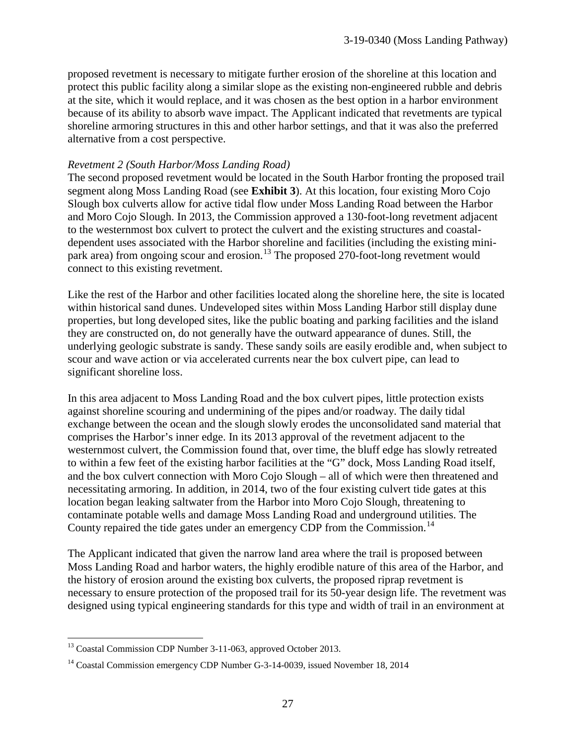proposed revetment is necessary to mitigate further erosion of the shoreline at this location and protect this public facility along a similar slope as the existing non-engineered rubble and debris at the site, which it would replace, and it was chosen as the best option in a harbor environment because of its ability to absorb wave impact. The Applicant indicated that revetments are typical shoreline armoring structures in this and other harbor settings, and that it was also the preferred alternative from a cost perspective.

#### *Revetment 2 (South Harbor/Moss Landing Road)*

The second proposed revetment would be located in the South Harbor fronting the proposed trail segment along Moss Landing Road (see **Exhibit 3**). At this location, four existing Moro Cojo Slough box culverts allow for active tidal flow under Moss Landing Road between the Harbor and Moro Cojo Slough. In 2013, the Commission approved a 130-foot-long revetment adjacent to the westernmost box culvert to protect the culvert and the existing structures and coastaldependent uses associated with the Harbor shoreline and facilities (including the existing mini-park area) from ongoing scour and erosion.<sup>[13](#page-26-0)</sup> The proposed 270-foot-long revetment would connect to this existing revetment.

Like the rest of the Harbor and other facilities located along the shoreline here, the site is located within historical sand dunes. Undeveloped sites within Moss Landing Harbor still display dune properties, but long developed sites, like the public boating and parking facilities and the island they are constructed on, do not generally have the outward appearance of dunes. Still, the underlying geologic substrate is sandy. These sandy soils are easily erodible and, when subject to scour and wave action or via accelerated currents near the box culvert pipe, can lead to significant shoreline loss.

In this area adjacent to Moss Landing Road and the box culvert pipes, little protection exists against shoreline scouring and undermining of the pipes and/or roadway. The daily tidal exchange between the ocean and the slough slowly erodes the unconsolidated sand material that comprises the Harbor's inner edge. In its 2013 approval of the revetment adjacent to the westernmost culvert, the Commission found that, over time, the bluff edge has slowly retreated to within a few feet of the existing harbor facilities at the "G" dock, Moss Landing Road itself, and the box culvert connection with Moro Cojo Slough – all of which were then threatened and necessitating armoring. In addition, in 2014, two of the four existing culvert tide gates at this location began leaking saltwater from the Harbor into Moro Cojo Slough, threatening to contaminate potable wells and damage Moss Landing Road and underground utilities. The County repaired the tide gates under an emergency CDP from the Commission.<sup>14</sup>

The Applicant indicated that given the narrow land area where the trail is proposed between Moss Landing Road and harbor waters, the highly erodible nature of this area of the Harbor, and the history of erosion around the existing box culverts, the proposed riprap revetment is necessary to ensure protection of the proposed trail for its 50-year design life. The revetment was designed using typical engineering standards for this type and width of trail in an environment at

<span id="page-26-0"></span> $\overline{a}$ <sup>13</sup> Coastal Commission CDP Number 3-11-063, approved October 2013.

<span id="page-26-1"></span><sup>&</sup>lt;sup>14</sup> Coastal Commission emergency CDP Number G-3-14-0039, issued November 18, 2014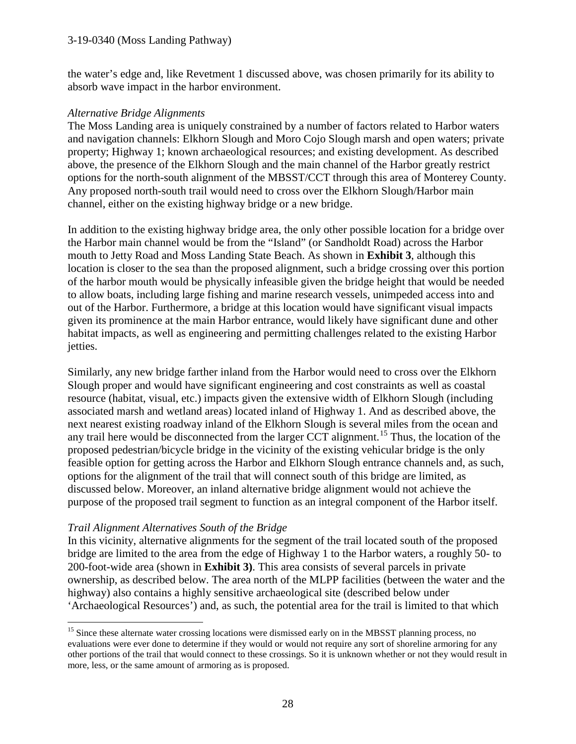#### 3-19-0340 (Moss Landing Pathway)

the water's edge and, like Revetment 1 discussed above, was chosen primarily for its ability to absorb wave impact in the harbor environment.

#### *Alternative Bridge Alignments*

The Moss Landing area is uniquely constrained by a number of factors related to Harbor waters and navigation channels: Elkhorn Slough and Moro Cojo Slough marsh and open waters; private property; Highway 1; known archaeological resources; and existing development. As described above, the presence of the Elkhorn Slough and the main channel of the Harbor greatly restrict options for the north-south alignment of the MBSST/CCT through this area of Monterey County. Any proposed north-south trail would need to cross over the Elkhorn Slough/Harbor main channel, either on the existing highway bridge or a new bridge.

In addition to the existing highway bridge area, the only other possible location for a bridge over the Harbor main channel would be from the "Island" (or Sandholdt Road) across the Harbor mouth to Jetty Road and Moss Landing State Beach. As shown in **Exhibit 3**, although this location is closer to the sea than the proposed alignment, such a bridge crossing over this portion of the harbor mouth would be physically infeasible given the bridge height that would be needed to allow boats, including large fishing and marine research vessels, unimpeded access into and out of the Harbor. Furthermore, a bridge at this location would have significant visual impacts given its prominence at the main Harbor entrance, would likely have significant dune and other habitat impacts, as well as engineering and permitting challenges related to the existing Harbor jetties.

Similarly, any new bridge farther inland from the Harbor would need to cross over the Elkhorn Slough proper and would have significant engineering and cost constraints as well as coastal resource (habitat, visual, etc.) impacts given the extensive width of Elkhorn Slough (including associated marsh and wetland areas) located inland of Highway 1. And as described above, the next nearest existing roadway inland of the Elkhorn Slough is several miles from the ocean and any trail here would be disconnected from the larger CCT alignment.<sup>[15](#page-27-0)</sup> Thus, the location of the proposed pedestrian/bicycle bridge in the vicinity of the existing vehicular bridge is the only feasible option for getting across the Harbor and Elkhorn Slough entrance channels and, as such, options for the alignment of the trail that will connect south of this bridge are limited, as discussed below. Moreover, an inland alternative bridge alignment would not achieve the purpose of the proposed trail segment to function as an integral component of the Harbor itself.

### *Trail Alignment Alternatives South of the Bridge*

 $\overline{a}$ 

In this vicinity, alternative alignments for the segment of the trail located south of the proposed bridge are limited to the area from the edge of Highway 1 to the Harbor waters, a roughly 50- to 200-foot-wide area (shown in **Exhibit 3)**. This area consists of several parcels in private ownership, as described below. The area north of the MLPP facilities (between the water and the highway) also contains a highly sensitive archaeological site (described below under 'Archaeological Resources') and, as such, the potential area for the trail is limited to that which

<span id="page-27-0"></span><sup>&</sup>lt;sup>15</sup> Since these alternate water crossing locations were dismissed early on in the MBSST planning process, no evaluations were ever done to determine if they would or would not require any sort of shoreline armoring for any other portions of the trail that would connect to these crossings. So it is unknown whether or not they would result in more, less, or the same amount of armoring as is proposed.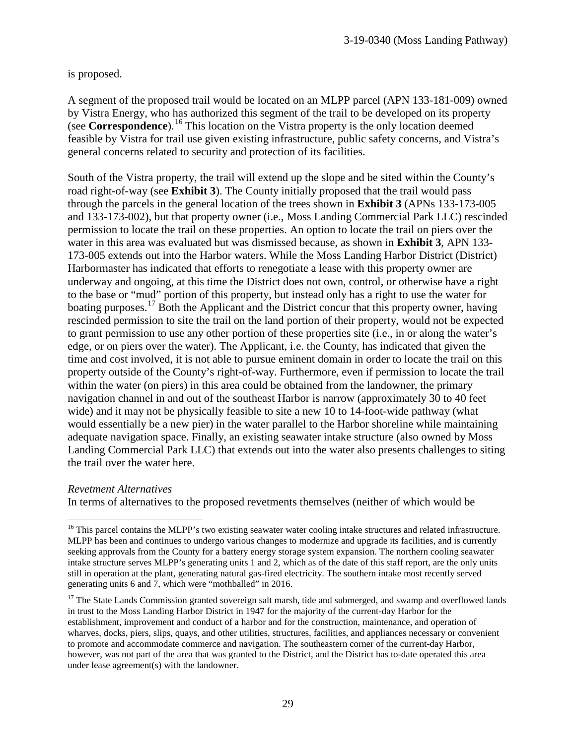is proposed.

A segment of the proposed trail would be located on an MLPP parcel (APN 133-181-009) owned by Vistra Energy, who has authorized this segment of the trail to be developed on its property (see **Correspondence**).[16](#page-28-0) This location on the Vistra property is the only location deemed feasible by Vistra for trail use given existing infrastructure, public safety concerns, and Vistra's general concerns related to security and protection of its facilities.

South of the Vistra property, the trail will extend up the slope and be sited within the County's road right-of-way (see **Exhibit 3**). The County initially proposed that the trail would pass through the parcels in the general location of the trees shown in **Exhibit 3** (APNs 133-173-005 and 133-173-002), but that property owner (i.e., Moss Landing Commercial Park LLC) rescinded permission to locate the trail on these properties. An option to locate the trail on piers over the water in this area was evaluated but was dismissed because, as shown in **Exhibit 3**, APN 133- 173-005 extends out into the Harbor waters. While the Moss Landing Harbor District (District) Harbormaster has indicated that efforts to renegotiate a lease with this property owner are underway and ongoing, at this time the District does not own, control, or otherwise have a right to the base or "mud" portion of this property, but instead only has a right to use the water for boating purposes.<sup>[17](#page-28-1)</sup> Both the Applicant and the District concur that this property owner, having rescinded permission to site the trail on the land portion of their property, would not be expected to grant permission to use any other portion of these properties site (i.e., in or along the water's edge, or on piers over the water). The Applicant, i.e. the County, has indicated that given the time and cost involved, it is not able to pursue eminent domain in order to locate the trail on this property outside of the County's right-of-way. Furthermore, even if permission to locate the trail within the water (on piers) in this area could be obtained from the landowner, the primary navigation channel in and out of the southeast Harbor is narrow (approximately 30 to 40 feet wide) and it may not be physically feasible to site a new 10 to 14-foot-wide pathway (what would essentially be a new pier) in the water parallel to the Harbor shoreline while maintaining adequate navigation space. Finally, an existing seawater intake structure (also owned by Moss Landing Commercial Park LLC) that extends out into the water also presents challenges to siting the trail over the water here.

#### *Revetment Alternatives*

 $\overline{a}$ 

In terms of alternatives to the proposed revetments themselves (neither of which would be

<span id="page-28-0"></span><sup>&</sup>lt;sup>16</sup> This parcel contains the MLPP's two existing seawater water cooling intake structures and related infrastructure. MLPP has been and continues to undergo various changes to modernize and upgrade its facilities, and is currently seeking approvals from the County for a battery energy storage system expansion. The northern cooling seawater intake structure serves MLPP's generating units 1 and 2, which as of the date of this staff report, are the only units still in operation at the plant, generating natural gas-fired electricity. The southern intake most recently served generating units 6 and 7, which were "mothballed" in 2016.

<span id="page-28-1"></span><sup>&</sup>lt;sup>17</sup> The State Lands Commission granted sovereign salt marsh, tide and submerged, and swamp and overflowed lands in trust to the Moss Landing Harbor District in 1947 for the majority of the current-day Harbor for the establishment, improvement and conduct of a harbor and for the construction, maintenance, and operation of wharves, docks, piers, slips, quays, and other utilities, structures, facilities, and appliances necessary or convenient to promote and accommodate commerce and navigation. The southeastern corner of the current-day Harbor, however, was not part of the area that was granted to the District, and the District has to-date operated this area under lease agreement(s) with the landowner.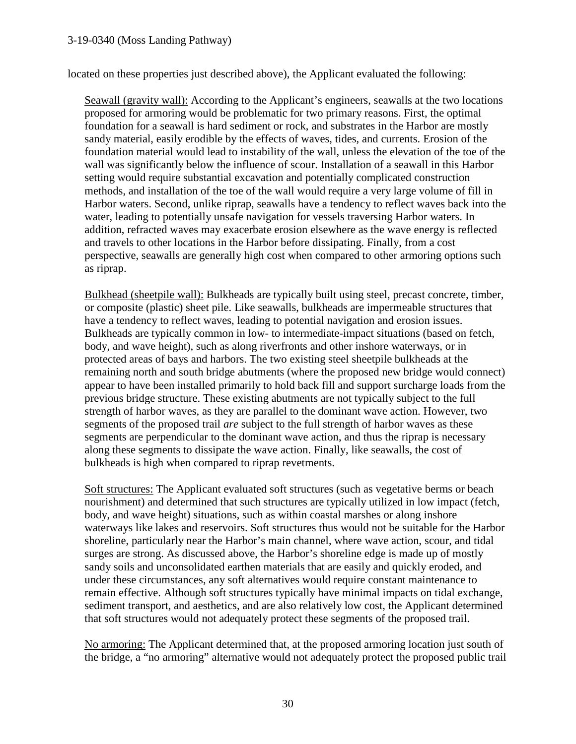located on these properties just described above), the Applicant evaluated the following:

Seawall (gravity wall): According to the Applicant's engineers, seawalls at the two locations proposed for armoring would be problematic for two primary reasons. First, the optimal foundation for a seawall is hard sediment or rock, and substrates in the Harbor are mostly sandy material, easily erodible by the effects of waves, tides, and currents. Erosion of the foundation material would lead to instability of the wall, unless the elevation of the toe of the wall was significantly below the influence of scour. Installation of a seawall in this Harbor setting would require substantial excavation and potentially complicated construction methods, and installation of the toe of the wall would require a very large volume of fill in Harbor waters. Second, unlike riprap, seawalls have a tendency to reflect waves back into the water, leading to potentially unsafe navigation for vessels traversing Harbor waters. In addition, refracted waves may exacerbate erosion elsewhere as the wave energy is reflected and travels to other locations in the Harbor before dissipating. Finally, from a cost perspective, seawalls are generally high cost when compared to other armoring options such as riprap.

Bulkhead (sheetpile wall): Bulkheads are typically built using steel, precast concrete, timber, or composite (plastic) sheet pile. Like seawalls, bulkheads are impermeable structures that have a tendency to reflect waves, leading to potential navigation and erosion issues. Bulkheads are typically common in low- to intermediate-impact situations (based on fetch, body, and wave height), such as along riverfronts and other inshore waterways, or in protected areas of bays and harbors. The two existing steel sheetpile bulkheads at the remaining north and south bridge abutments (where the proposed new bridge would connect) appear to have been installed primarily to hold back fill and support surcharge loads from the previous bridge structure. These existing abutments are not typically subject to the full strength of harbor waves, as they are parallel to the dominant wave action. However, two segments of the proposed trail *are* subject to the full strength of harbor waves as these segments are perpendicular to the dominant wave action, and thus the riprap is necessary along these segments to dissipate the wave action. Finally, like seawalls, the cost of bulkheads is high when compared to riprap revetments.

Soft structures: The Applicant evaluated soft structures (such as vegetative berms or beach nourishment) and determined that such structures are typically utilized in low impact (fetch, body, and wave height) situations, such as within coastal marshes or along inshore waterways like lakes and reservoirs. Soft structures thus would not be suitable for the Harbor shoreline, particularly near the Harbor's main channel, where wave action, scour, and tidal surges are strong. As discussed above, the Harbor's shoreline edge is made up of mostly sandy soils and unconsolidated earthen materials that are easily and quickly eroded, and under these circumstances, any soft alternatives would require constant maintenance to remain effective. Although soft structures typically have minimal impacts on tidal exchange, sediment transport, and aesthetics, and are also relatively low cost, the Applicant determined that soft structures would not adequately protect these segments of the proposed trail.

No armoring: The Applicant determined that, at the proposed armoring location just south of the bridge, a "no armoring" alternative would not adequately protect the proposed public trail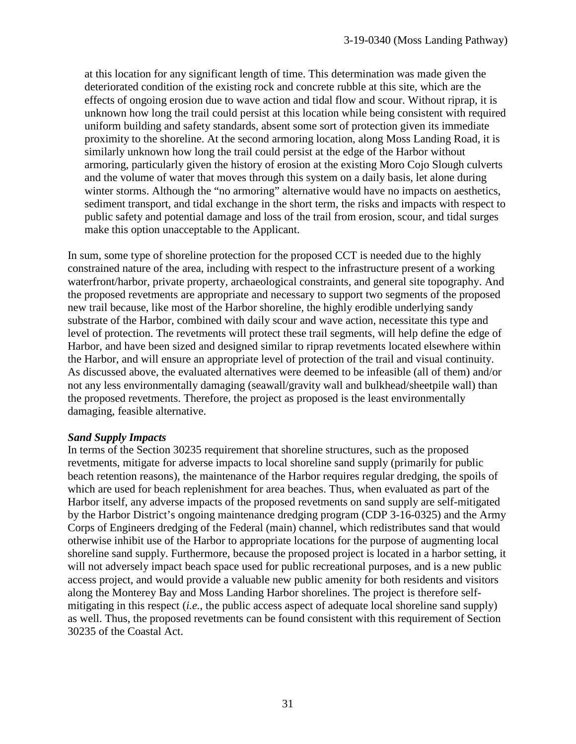at this location for any significant length of time. This determination was made given the deteriorated condition of the existing rock and concrete rubble at this site, which are the effects of ongoing erosion due to wave action and tidal flow and scour. Without riprap, it is unknown how long the trail could persist at this location while being consistent with required uniform building and safety standards, absent some sort of protection given its immediate proximity to the shoreline. At the second armoring location, along Moss Landing Road, it is similarly unknown how long the trail could persist at the edge of the Harbor without armoring, particularly given the history of erosion at the existing Moro Cojo Slough culverts and the volume of water that moves through this system on a daily basis, let alone during winter storms. Although the "no armoring" alternative would have no impacts on aesthetics, sediment transport, and tidal exchange in the short term, the risks and impacts with respect to public safety and potential damage and loss of the trail from erosion, scour, and tidal surges make this option unacceptable to the Applicant.

In sum, some type of shoreline protection for the proposed CCT is needed due to the highly constrained nature of the area, including with respect to the infrastructure present of a working waterfront/harbor, private property, archaeological constraints, and general site topography. And the proposed revetments are appropriate and necessary to support two segments of the proposed new trail because, like most of the Harbor shoreline, the highly erodible underlying sandy substrate of the Harbor, combined with daily scour and wave action, necessitate this type and level of protection. The revetments will protect these trail segments, will help define the edge of Harbor, and have been sized and designed similar to riprap revetments located elsewhere within the Harbor, and will ensure an appropriate level of protection of the trail and visual continuity. As discussed above, the evaluated alternatives were deemed to be infeasible (all of them) and/or not any less environmentally damaging (seawall/gravity wall and bulkhead/sheetpile wall) than the proposed revetments. Therefore, the project as proposed is the least environmentally damaging, feasible alternative.

#### *Sand Supply Impacts*

In terms of the Section 30235 requirement that shoreline structures, such as the proposed revetments, mitigate for adverse impacts to local shoreline sand supply (primarily for public beach retention reasons), the maintenance of the Harbor requires regular dredging, the spoils of which are used for beach replenishment for area beaches. Thus, when evaluated as part of the Harbor itself, any adverse impacts of the proposed revetments on sand supply are self-mitigated by the Harbor District's ongoing maintenance dredging program (CDP 3-16-0325) and the Army Corps of Engineers dredging of the Federal (main) channel, which redistributes sand that would otherwise inhibit use of the Harbor to appropriate locations for the purpose of augmenting local shoreline sand supply. Furthermore, because the proposed project is located in a harbor setting, it will not adversely impact beach space used for public recreational purposes, and is a new public access project, and would provide a valuable new public amenity for both residents and visitors along the Monterey Bay and Moss Landing Harbor shorelines. The project is therefore selfmitigating in this respect (*i.e.*, the public access aspect of adequate local shoreline sand supply) as well. Thus, the proposed revetments can be found consistent with this requirement of Section 30235 of the Coastal Act.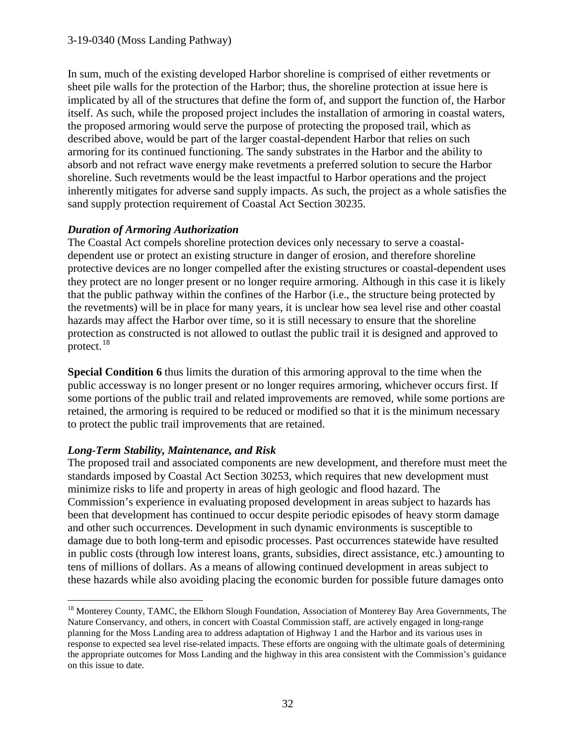In sum, much of the existing developed Harbor shoreline is comprised of either revetments or sheet pile walls for the protection of the Harbor; thus, the shoreline protection at issue here is implicated by all of the structures that define the form of, and support the function of, the Harbor itself. As such, while the proposed project includes the installation of armoring in coastal waters, the proposed armoring would serve the purpose of protecting the proposed trail, which as described above, would be part of the larger coastal-dependent Harbor that relies on such armoring for its continued functioning. The sandy substrates in the Harbor and the ability to absorb and not refract wave energy make revetments a preferred solution to secure the Harbor shoreline. Such revetments would be the least impactful to Harbor operations and the project inherently mitigates for adverse sand supply impacts. As such, the project as a whole satisfies the sand supply protection requirement of Coastal Act Section 30235.

### *Duration of Armoring Authorization*

The Coastal Act compels shoreline protection devices only necessary to serve a coastaldependent use or protect an existing structure in danger of erosion, and therefore shoreline protective devices are no longer compelled after the existing structures or coastal-dependent uses they protect are no longer present or no longer require armoring. Although in this case it is likely that the public pathway within the confines of the Harbor (i.e., the structure being protected by the revetments) will be in place for many years, it is unclear how sea level rise and other coastal hazards may affect the Harbor over time, so it is still necessary to ensure that the shoreline protection as constructed is not allowed to outlast the public trail it is designed and approved to protect. $18$ 

**Special Condition 6** thus limits the duration of this armoring approval to the time when the public accessway is no longer present or no longer requires armoring, whichever occurs first. If some portions of the public trail and related improvements are removed, while some portions are retained, the armoring is required to be reduced or modified so that it is the minimum necessary to protect the public trail improvements that are retained.

# *Long-Term Stability, Maintenance, and Risk*

The proposed trail and associated components are new development, and therefore must meet the standards imposed by Coastal Act Section 30253, which requires that new development must minimize risks to life and property in areas of high geologic and flood hazard. The Commission's experience in evaluating proposed development in areas subject to hazards has been that development has continued to occur despite periodic episodes of heavy storm damage and other such occurrences. Development in such dynamic environments is susceptible to damage due to both long-term and episodic processes. Past occurrences statewide have resulted in public costs (through low interest loans, grants, subsidies, direct assistance, etc.) amounting to tens of millions of dollars. As a means of allowing continued development in areas subject to these hazards while also avoiding placing the economic burden for possible future damages onto

<span id="page-31-0"></span> $\overline{a}$ <sup>18</sup> Monterey County, TAMC, the Elkhorn Slough Foundation, Association of Monterey Bay Area Governments, The Nature Conservancy, and others, in concert with Coastal Commission staff, are actively engaged in long-range planning for the Moss Landing area to address adaptation of Highway 1 and the Harbor and its various uses in response to expected sea level rise-related impacts. These efforts are ongoing with the ultimate goals of determining the appropriate outcomes for Moss Landing and the highway in this area consistent with the Commission's guidance on this issue to date.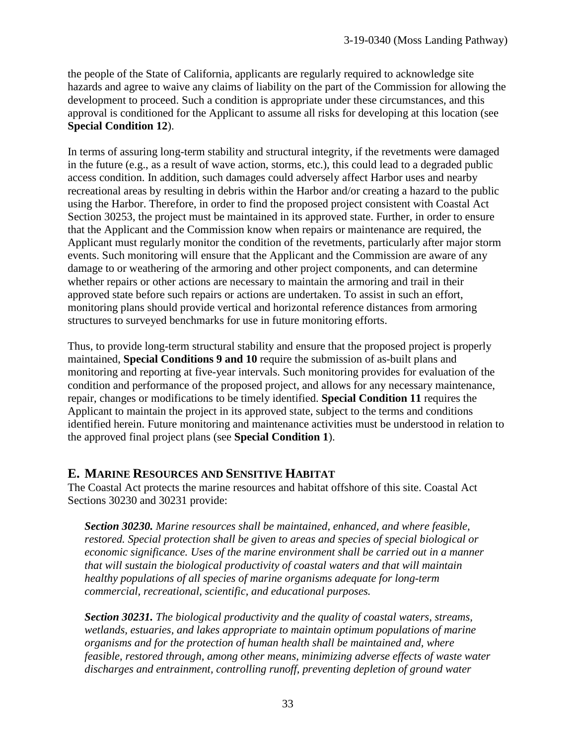the people of the State of California, applicants are regularly required to acknowledge site hazards and agree to waive any claims of liability on the part of the Commission for allowing the development to proceed. Such a condition is appropriate under these circumstances, and this approval is conditioned for the Applicant to assume all risks for developing at this location (see **Special Condition 12**).

In terms of assuring long-term stability and structural integrity, if the revetments were damaged in the future (e.g., as a result of wave action, storms, etc.), this could lead to a degraded public access condition. In addition, such damages could adversely affect Harbor uses and nearby recreational areas by resulting in debris within the Harbor and/or creating a hazard to the public using the Harbor. Therefore, in order to find the proposed project consistent with Coastal Act Section 30253, the project must be maintained in its approved state. Further, in order to ensure that the Applicant and the Commission know when repairs or maintenance are required, the Applicant must regularly monitor the condition of the revetments, particularly after major storm events. Such monitoring will ensure that the Applicant and the Commission are aware of any damage to or weathering of the armoring and other project components, and can determine whether repairs or other actions are necessary to maintain the armoring and trail in their approved state before such repairs or actions are undertaken. To assist in such an effort, monitoring plans should provide vertical and horizontal reference distances from armoring structures to surveyed benchmarks for use in future monitoring efforts.

Thus, to provide long-term structural stability and ensure that the proposed project is properly maintained, **Special Conditions 9 and 10** require the submission of as-built plans and monitoring and reporting at five-year intervals. Such monitoring provides for evaluation of the condition and performance of the proposed project, and allows for any necessary maintenance, repair, changes or modifications to be timely identified. **Special Condition 11** requires the Applicant to maintain the project in its approved state, subject to the terms and conditions identified herein. Future monitoring and maintenance activities must be understood in relation to the approved final project plans (see **Special Condition 1**).

# **E. MARINE RESOURCES AND SENSITIVE HABITAT**

The Coastal Act protects the marine resources and habitat offshore of this site. Coastal Act Sections 30230 and 30231 provide:

*Section 30230. Marine resources shall be maintained, enhanced, and where feasible, restored. Special protection shall be given to areas and species of special biological or economic significance. Uses of the marine environment shall be carried out in a manner that will sustain the biological productivity of coastal waters and that will maintain healthy populations of all species of marine organisms adequate for long-term commercial, recreational, scientific, and educational purposes.* 

*Section 30231. The biological productivity and the quality of coastal waters, streams, wetlands, estuaries, and lakes appropriate to maintain optimum populations of marine organisms and for the protection of human health shall be maintained and, where feasible, restored through, among other means, minimizing adverse effects of waste water discharges and entrainment, controlling runoff, preventing depletion of ground water*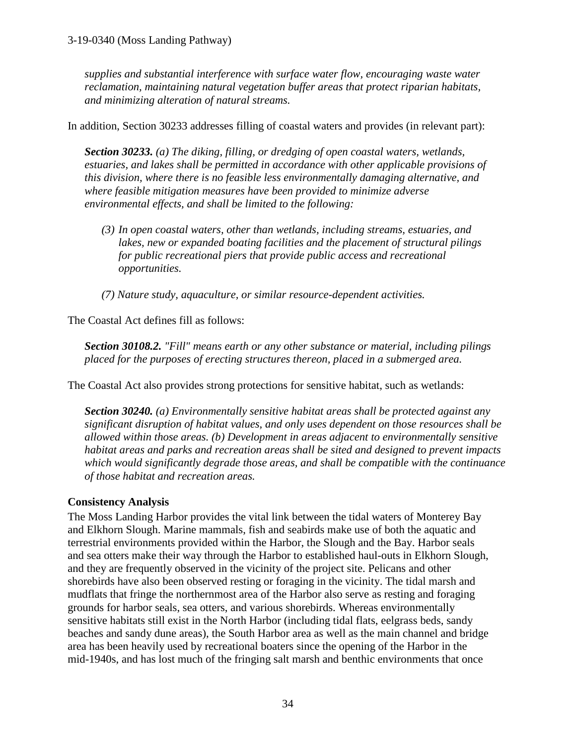*supplies and substantial interference with surface water flow, encouraging waste water reclamation, maintaining natural vegetation buffer areas that protect riparian habitats, and minimizing alteration of natural streams.* 

In addition, Section 30233 addresses filling of coastal waters and provides (in relevant part):

*Section 30233. (a) The diking, filling, or dredging of open coastal waters, wetlands, estuaries, and lakes shall be permitted in accordance with other applicable provisions of this division, where there is no feasible less environmentally damaging alternative, and where feasible mitigation measures have been provided to minimize adverse environmental effects, and shall be limited to the following:* 

*(3) In open coastal waters, other than wetlands, including streams, estuaries, and lakes, new or expanded boating facilities and the placement of structural pilings for public recreational piers that provide public access and recreational opportunities.* 

 *(7) Nature study, aquaculture, or similar resource-dependent activities.*

The Coastal Act defines fill as follows:

*Section 30108.2. "Fill" means earth or any other substance or material, including pilings placed for the purposes of erecting structures thereon, placed in a submerged area.* 

The Coastal Act also provides strong protections for sensitive habitat, such as wetlands:

*Section 30240. (a) Environmentally sensitive habitat areas shall be protected against any significant disruption of habitat values, and only uses dependent on those resources shall be allowed within those areas. (b) Development in areas adjacent to environmentally sensitive habitat areas and parks and recreation areas shall be sited and designed to prevent impacts which would significantly degrade those areas, and shall be compatible with the continuance of those habitat and recreation areas.* 

### **Consistency Analysis**

The Moss Landing Harbor provides the vital link between the tidal waters of Monterey Bay and Elkhorn Slough. Marine mammals, fish and seabirds make use of both the aquatic and terrestrial environments provided within the Harbor, the Slough and the Bay. Harbor seals and sea otters make their way through the Harbor to established haul-outs in Elkhorn Slough, and they are frequently observed in the vicinity of the project site. Pelicans and other shorebirds have also been observed resting or foraging in the vicinity. The tidal marsh and mudflats that fringe the northernmost area of the Harbor also serve as resting and foraging grounds for harbor seals, sea otters, and various shorebirds. Whereas environmentally sensitive habitats still exist in the North Harbor (including tidal flats, eelgrass beds, sandy beaches and sandy dune areas), the South Harbor area as well as the main channel and bridge area has been heavily used by recreational boaters since the opening of the Harbor in the mid-1940s, and has lost much of the fringing salt marsh and benthic environments that once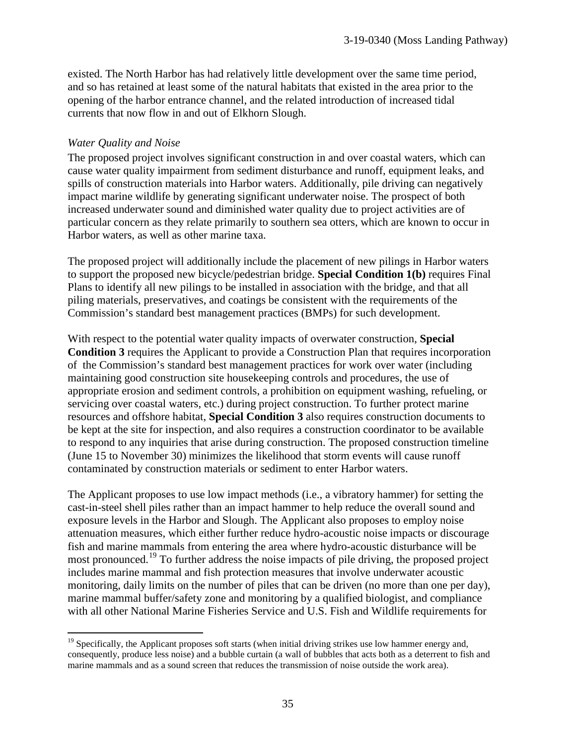existed. The North Harbor has had relatively little development over the same time period, and so has retained at least some of the natural habitats that existed in the area prior to the opening of the harbor entrance channel, and the related introduction of increased tidal currents that now flow in and out of Elkhorn Slough.

#### *Water Quality and Noise*

The proposed project involves significant construction in and over coastal waters, which can cause water quality impairment from sediment disturbance and runoff, equipment leaks, and spills of construction materials into Harbor waters. Additionally, pile driving can negatively impact marine wildlife by generating significant underwater noise. The prospect of both increased underwater sound and diminished water quality due to project activities are of particular concern as they relate primarily to southern sea otters, which are known to occur in Harbor waters, as well as other marine taxa.

The proposed project will additionally include the placement of new pilings in Harbor waters to support the proposed new bicycle/pedestrian bridge. **Special Condition 1(b)** requires Final Plans to identify all new pilings to be installed in association with the bridge, and that all piling materials, preservatives, and coatings be consistent with the requirements of the Commission's standard best management practices (BMPs) for such development.

With respect to the potential water quality impacts of overwater construction, **Special Condition 3** requires the Applicant to provide a Construction Plan that requires incorporation of the Commission's standard best management practices for work over water (including maintaining good construction site housekeeping controls and procedures, the use of appropriate erosion and sediment controls, a prohibition on equipment washing, refueling, or servicing over coastal waters, etc.) during project construction. To further protect marine resources and offshore habitat, **Special Condition 3** also requires construction documents to be kept at the site for inspection, and also requires a construction coordinator to be available to respond to any inquiries that arise during construction. The proposed construction timeline (June 15 to November 30) minimizes the likelihood that storm events will cause runoff contaminated by construction materials or sediment to enter Harbor waters.

The Applicant proposes to use low impact methods (i.e., a vibratory hammer) for setting the cast-in-steel shell piles rather than an impact hammer to help reduce the overall sound and exposure levels in the Harbor and Slough. The Applicant also proposes to employ noise attenuation measures, which either further reduce hydro-acoustic noise impacts or discourage fish and marine mammals from entering the area where hydro-acoustic disturbance will be most pronounced.<sup>[19](#page-34-0)</sup> To further address the noise impacts of pile driving, the proposed project includes marine mammal and fish protection measures that involve underwater acoustic monitoring, daily limits on the number of piles that can be driven (no more than one per day), marine mammal buffer/safety zone and monitoring by a qualified biologist, and compliance with all other National Marine Fisheries Service and U.S. Fish and Wildlife requirements for

<span id="page-34-0"></span> $\overline{a}$ <sup>19</sup> Specifically, the Applicant proposes soft starts (when initial driving strikes use low hammer energy and, consequently, produce less noise) and a bubble curtain (a wall of bubbles that acts both as a deterrent to fish and marine mammals and as a sound screen that reduces the transmission of noise outside the work area).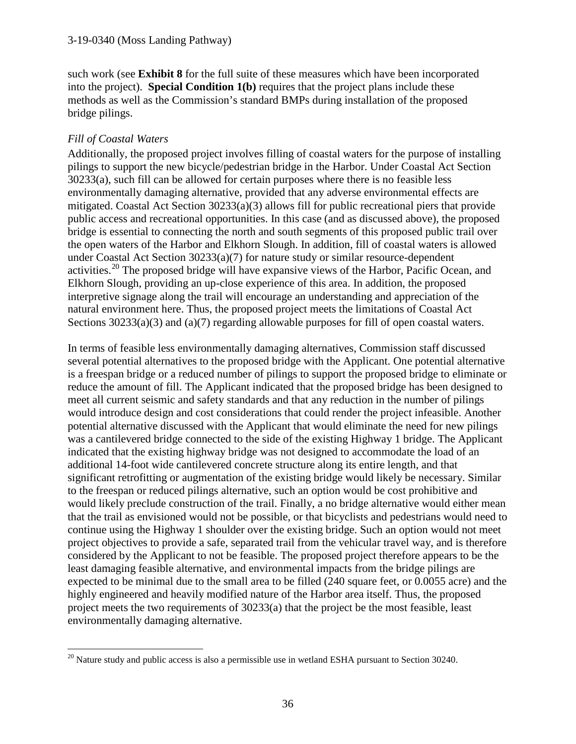such work (see **Exhibit 8** for the full suite of these measures which have been incorporated into the project). **Special Condition 1(b)** requires that the project plans include these methods as well as the Commission's standard BMPs during installation of the proposed bridge pilings.

### *Fill of Coastal Waters*

Additionally, the proposed project involves filling of coastal waters for the purpose of installing pilings to support the new bicycle/pedestrian bridge in the Harbor. Under Coastal Act Section 30233(a), such fill can be allowed for certain purposes where there is no feasible less environmentally damaging alternative, provided that any adverse environmental effects are mitigated. Coastal Act Section 30233(a)(3) allows fill for public recreational piers that provide public access and recreational opportunities. In this case (and as discussed above), the proposed bridge is essential to connecting the north and south segments of this proposed public trail over the open waters of the Harbor and Elkhorn Slough. In addition, fill of coastal waters is allowed under Coastal Act Section 30233(a)(7) for nature study or similar resource-dependent activities.<sup>20</sup> The proposed bridge will have expansive views of the Harbor, Pacific Ocean, and Elkhorn Slough, providing an up-close experience of this area. In addition, the proposed interpretive signage along the trail will encourage an understanding and appreciation of the natural environment here. Thus, the proposed project meets the limitations of Coastal Act Sections 30233(a)(3) and (a)(7) regarding allowable purposes for fill of open coastal waters.

In terms of feasible less environmentally damaging alternatives, Commission staff discussed several potential alternatives to the proposed bridge with the Applicant. One potential alternative is a freespan bridge or a reduced number of pilings to support the proposed bridge to eliminate or reduce the amount of fill. The Applicant indicated that the proposed bridge has been designed to meet all current seismic and safety standards and that any reduction in the number of pilings would introduce design and cost considerations that could render the project infeasible. Another potential alternative discussed with the Applicant that would eliminate the need for new pilings was a cantilevered bridge connected to the side of the existing Highway 1 bridge. The Applicant indicated that the existing highway bridge was not designed to accommodate the load of an additional 14-foot wide cantilevered concrete structure along its entire length, and that significant retrofitting or augmentation of the existing bridge would likely be necessary. Similar to the freespan or reduced pilings alternative, such an option would be cost prohibitive and would likely preclude construction of the trail. Finally, a no bridge alternative would either mean that the trail as envisioned would not be possible, or that bicyclists and pedestrians would need to continue using the Highway 1 shoulder over the existing bridge. Such an option would not meet project objectives to provide a safe, separated trail from the vehicular travel way, and is therefore considered by the Applicant to not be feasible. The proposed project therefore appears to be the least damaging feasible alternative, and environmental impacts from the bridge pilings are expected to be minimal due to the small area to be filled (240 square feet, or 0.0055 acre) and the highly engineered and heavily modified nature of the Harbor area itself. Thus, the proposed project meets the two requirements of 30233(a) that the project be the most feasible, least environmentally damaging alternative.

<span id="page-35-0"></span> $\overline{a}$  $20$  Nature study and public access is also a permissible use in wetland ESHA pursuant to Section 30240.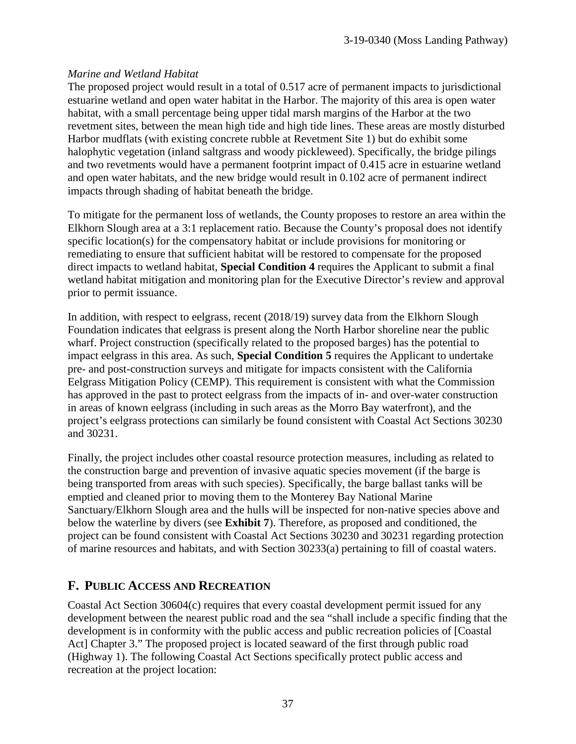# *Marine and Wetland Habitat*

The proposed project would result in a total of 0.517 acre of permanent impacts to jurisdictional estuarine wetland and open water habitat in the Harbor. The majority of this area is open water habitat, with a small percentage being upper tidal marsh margins of the Harbor at the two revetment sites, between the mean high tide and high tide lines. These areas are mostly disturbed Harbor mudflats (with existing concrete rubble at Revetment Site 1) but do exhibit some halophytic vegetation (inland saltgrass and woody pickleweed). Specifically, the bridge pilings and two revetments would have a permanent footprint impact of 0.415 acre in estuarine wetland and open water habitats, and the new bridge would result in 0.102 acre of permanent indirect impacts through shading of habitat beneath the bridge.

To mitigate for the permanent loss of wetlands, the County proposes to restore an area within the Elkhorn Slough area at a 3:1 replacement ratio. Because the County's proposal does not identify specific location(s) for the compensatory habitat or include provisions for monitoring or remediating to ensure that sufficient habitat will be restored to compensate for the proposed direct impacts to wetland habitat, **Special Condition 4** requires the Applicant to submit a final wetland habitat mitigation and monitoring plan for the Executive Director's review and approval prior to permit issuance.

In addition, with respect to eelgrass, recent (2018/19) survey data from the Elkhorn Slough Foundation indicates that eelgrass is present along the North Harbor shoreline near the public wharf. Project construction (specifically related to the proposed barges) has the potential to impact eelgrass in this area. As such, **Special Condition 5** requires the Applicant to undertake pre- and post-construction surveys and mitigate for impacts consistent with the California Eelgrass Mitigation Policy (CEMP). This requirement is consistent with what the Commission has approved in the past to protect eelgrass from the impacts of in- and over-water construction in areas of known eelgrass (including in such areas as the Morro Bay waterfront), and the project's eelgrass protections can similarly be found consistent with Coastal Act Sections 30230 and 30231.

Finally, the project includes other coastal resource protection measures, including as related to the construction barge and prevention of invasive aquatic species movement (if the barge is being transported from areas with such species). Specifically, the barge ballast tanks will be emptied and cleaned prior to moving them to the Monterey Bay National Marine Sanctuary/Elkhorn Slough area and the hulls will be inspected for non-native species above and below the waterline by divers (see **Exhibit 7**). Therefore, as proposed and conditioned, the project can be found consistent with Coastal Act Sections 30230 and 30231 regarding protection of marine resources and habitats, and with Section 30233(a) pertaining to fill of coastal waters.

# **F. PUBLIC ACCESS AND RECREATION**

Coastal Act Section 30604(c) requires that every coastal development permit issued for any development between the nearest public road and the sea "shall include a specific finding that the development is in conformity with the public access and public recreation policies of [Coastal Act] Chapter 3." The proposed project is located seaward of the first through public road (Highway 1). The following Coastal Act Sections specifically protect public access and recreation at the project location: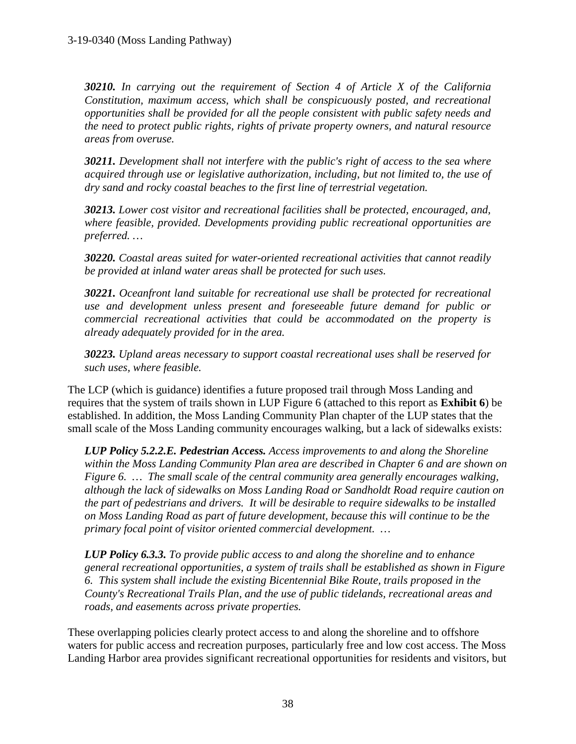*30210. In carrying out the requirement of Section 4 of Article X of the California Constitution, maximum access, which shall be conspicuously posted, and recreational opportunities shall be provided for all the people consistent with public safety needs and the need to protect public rights, rights of private property owners, and natural resource areas from overuse.* 

*30211. Development shall not interfere with the public's right of access to the sea where acquired through use or legislative authorization, including, but not limited to, the use of dry sand and rocky coastal beaches to the first line of terrestrial vegetation.* 

*30213. Lower cost visitor and recreational facilities shall be protected, encouraged, and, where feasible, provided. Developments providing public recreational opportunities are preferred. …*

*30220. Coastal areas suited for water-oriented recreational activities that cannot readily be provided at inland water areas shall be protected for such uses.* 

*30221. Oceanfront land suitable for recreational use shall be protected for recreational use and development unless present and foreseeable future demand for public or commercial recreational activities that could be accommodated on the property is already adequately provided for in the area.* 

*30223. Upland areas necessary to support coastal recreational uses shall be reserved for such uses, where feasible.* 

The LCP (which is guidance) identifies a future proposed trail through Moss Landing and requires that the system of trails shown in LUP Figure 6 (attached to this report as **Exhibit 6**) be established. In addition, the Moss Landing Community Plan chapter of the LUP states that the small scale of the Moss Landing community encourages walking, but a lack of sidewalks exists:

*LUP Policy 5.2.2.E. Pedestrian Access. Access improvements to and along the Shoreline within the Moss Landing Community Plan area are described in Chapter 6 and are shown on Figure 6. … The small scale of the central community area generally encourages walking, although the lack of sidewalks on Moss Landing Road or Sandholdt Road require caution on the part of pedestrians and drivers. It will be desirable to require sidewalks to be installed on Moss Landing Road as part of future development, because this will continue to be the primary focal point of visitor oriented commercial development. …* 

*LUP Policy 6.3.3. To provide public access to and along the shoreline and to enhance general recreational opportunities, a system of trails shall be established as shown in Figure 6. This system shall include the existing Bicentennial Bike Route, trails proposed in the County's Recreational Trails Plan, and the use of public tidelands, recreational areas and roads, and easements across private properties.* 

These overlapping policies clearly protect access to and along the shoreline and to offshore waters for public access and recreation purposes, particularly free and low cost access. The Moss Landing Harbor area provides significant recreational opportunities for residents and visitors, but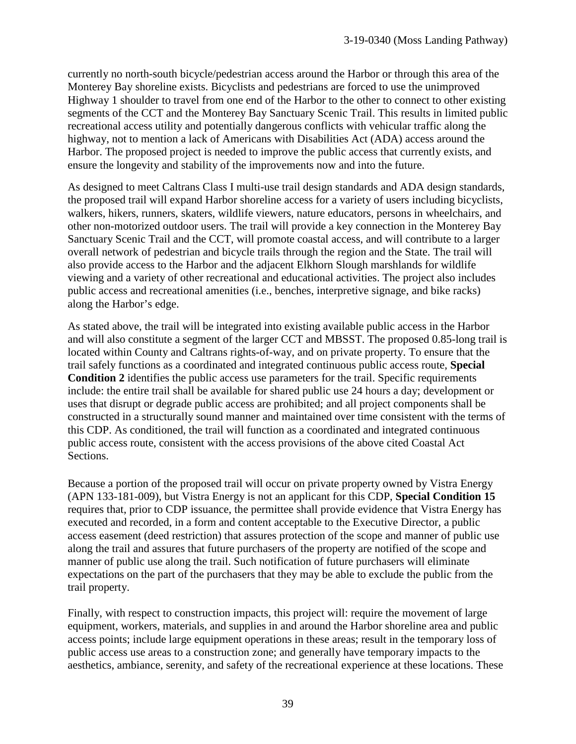currently no north-south bicycle/pedestrian access around the Harbor or through this area of the Monterey Bay shoreline exists. Bicyclists and pedestrians are forced to use the unimproved Highway 1 shoulder to travel from one end of the Harbor to the other to connect to other existing segments of the CCT and the Monterey Bay Sanctuary Scenic Trail. This results in limited public recreational access utility and potentially dangerous conflicts with vehicular traffic along the highway, not to mention a lack of Americans with Disabilities Act (ADA) access around the Harbor. The proposed project is needed to improve the public access that currently exists, and ensure the longevity and stability of the improvements now and into the future.

As designed to meet Caltrans Class I multi-use trail design standards and ADA design standards, the proposed trail will expand Harbor shoreline access for a variety of users including bicyclists, walkers, hikers, runners, skaters, wildlife viewers, nature educators, persons in wheelchairs, and other non-motorized outdoor users. The trail will provide a key connection in the Monterey Bay Sanctuary Scenic Trail and the CCT, will promote coastal access, and will contribute to a larger overall network of pedestrian and bicycle trails through the region and the State. The trail will also provide access to the Harbor and the adjacent Elkhorn Slough marshlands for wildlife viewing and a variety of other recreational and educational activities. The project also includes public access and recreational amenities (i.e., benches, interpretive signage, and bike racks) along the Harbor's edge.

As stated above, the trail will be integrated into existing available public access in the Harbor and will also constitute a segment of the larger CCT and MBSST. The proposed 0.85-long trail is located within County and Caltrans rights-of-way, and on private property. To ensure that the trail safely functions as a coordinated and integrated continuous public access route, **Special Condition 2** identifies the public access use parameters for the trail. Specific requirements include: the entire trail shall be available for shared public use 24 hours a day; development or uses that disrupt or degrade public access are prohibited; and all project components shall be constructed in a structurally sound manner and maintained over time consistent with the terms of this CDP. As conditioned, the trail will function as a coordinated and integrated continuous public access route, consistent with the access provisions of the above cited Coastal Act Sections.

Because a portion of the proposed trail will occur on private property owned by Vistra Energy (APN 133-181-009), but Vistra Energy is not an applicant for this CDP, **Special Condition 15** requires that, prior to CDP issuance, the permittee shall provide evidence that Vistra Energy has executed and recorded, in a form and content acceptable to the Executive Director, a public access easement (deed restriction) that assures protection of the scope and manner of public use along the trail and assures that future purchasers of the property are notified of the scope and manner of public use along the trail. Such notification of future purchasers will eliminate expectations on the part of the purchasers that they may be able to exclude the public from the trail property.

Finally, with respect to construction impacts, this project will: require the movement of large equipment, workers, materials, and supplies in and around the Harbor shoreline area and public access points; include large equipment operations in these areas; result in the temporary loss of public access use areas to a construction zone; and generally have temporary impacts to the aesthetics, ambiance, serenity, and safety of the recreational experience at these locations. These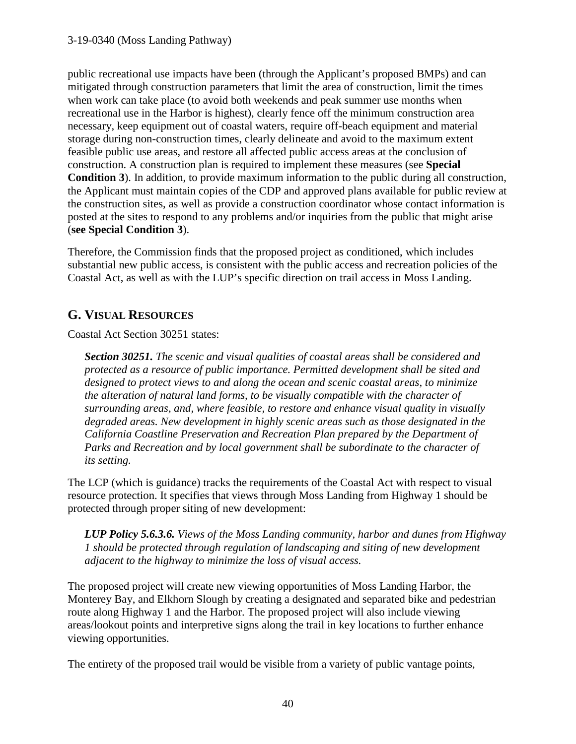public recreational use impacts have been (through the Applicant's proposed BMPs) and can mitigated through construction parameters that limit the area of construction, limit the times when work can take place (to avoid both weekends and peak summer use months when recreational use in the Harbor is highest), clearly fence off the minimum construction area necessary, keep equipment out of coastal waters, require off-beach equipment and material storage during non-construction times, clearly delineate and avoid to the maximum extent feasible public use areas, and restore all affected public access areas at the conclusion of construction. A construction plan is required to implement these measures (see **Special Condition 3**). In addition, to provide maximum information to the public during all construction, the Applicant must maintain copies of the CDP and approved plans available for public review at the construction sites, as well as provide a construction coordinator whose contact information is posted at the sites to respond to any problems and/or inquiries from the public that might arise (**see Special Condition 3**).

Therefore, the Commission finds that the proposed project as conditioned, which includes substantial new public access, is consistent with the public access and recreation policies of the Coastal Act, as well as with the LUP's specific direction on trail access in Moss Landing.

# **G. VISUAL RESOURCES**

Coastal Act Section 30251 states:

*Section 30251. The scenic and visual qualities of coastal areas shall be considered and protected as a resource of public importance. Permitted development shall be sited and designed to protect views to and along the ocean and scenic coastal areas, to minimize the alteration of natural land forms, to be visually compatible with the character of surrounding areas, and, where feasible, to restore and enhance visual quality in visually degraded areas. New development in highly scenic areas such as those designated in the California Coastline Preservation and Recreation Plan prepared by the Department of*  Parks and Recreation and by local government shall be subordinate to the character of *its setting.*

The LCP (which is guidance) tracks the requirements of the Coastal Act with respect to visual resource protection. It specifies that views through Moss Landing from Highway 1 should be protected through proper siting of new development:

*LUP Policy 5.6.3.6. Views of the Moss Landing community, harbor and dunes from Highway 1 should be protected through regulation of landscaping and siting of new development adjacent to the highway to minimize the loss of visual access.* 

The proposed project will create new viewing opportunities of Moss Landing Harbor, the Monterey Bay, and Elkhorn Slough by creating a designated and separated bike and pedestrian route along Highway 1 and the Harbor. The proposed project will also include viewing areas/lookout points and interpretive signs along the trail in key locations to further enhance viewing opportunities.

The entirety of the proposed trail would be visible from a variety of public vantage points,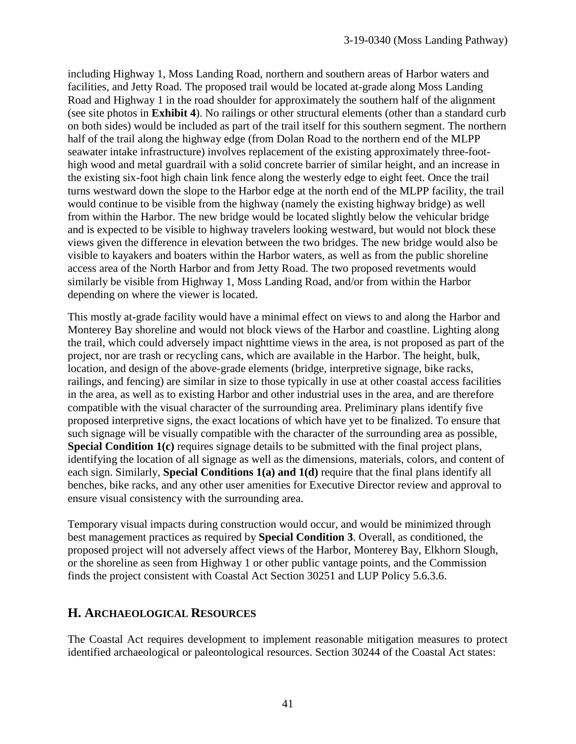including Highway 1, Moss Landing Road, northern and southern areas of Harbor waters and facilities, and Jetty Road. The proposed trail would be located at-grade along Moss Landing Road and Highway 1 in the road shoulder for approximately the southern half of the alignment (see site photos in **Exhibit 4**). No railings or other structural elements (other than a standard curb on both sides) would be included as part of the trail itself for this southern segment. The northern half of the trail along the highway edge (from Dolan Road to the northern end of the MLPP seawater intake infrastructure) involves replacement of the existing approximately three-foothigh wood and metal guardrail with a solid concrete barrier of similar height, and an increase in the existing six-foot high chain link fence along the westerly edge to eight feet. Once the trail turns westward down the slope to the Harbor edge at the north end of the MLPP facility, the trail would continue to be visible from the highway (namely the existing highway bridge) as well from within the Harbor. The new bridge would be located slightly below the vehicular bridge and is expected to be visible to highway travelers looking westward, but would not block these views given the difference in elevation between the two bridges. The new bridge would also be visible to kayakers and boaters within the Harbor waters, as well as from the public shoreline access area of the North Harbor and from Jetty Road. The two proposed revetments would similarly be visible from Highway 1, Moss Landing Road, and/or from within the Harbor depending on where the viewer is located.

This mostly at-grade facility would have a minimal effect on views to and along the Harbor and Monterey Bay shoreline and would not block views of the Harbor and coastline. Lighting along the trail, which could adversely impact nighttime views in the area, is not proposed as part of the project, nor are trash or recycling cans, which are available in the Harbor. The height, bulk, location, and design of the above-grade elements (bridge, interpretive signage, bike racks, railings, and fencing) are similar in size to those typically in use at other coastal access facilities in the area, as well as to existing Harbor and other industrial uses in the area, and are therefore compatible with the visual character of the surrounding area. Preliminary plans identify five proposed interpretive signs, the exact locations of which have yet to be finalized. To ensure that such signage will be visually compatible with the character of the surrounding area as possible, **Special Condition 1(c)** requires signage details to be submitted with the final project plans, identifying the location of all signage as well as the dimensions, materials, colors, and content of each sign. Similarly, **Special Conditions 1(a) and 1(d)** require that the final plans identify all benches, bike racks, and any other user amenities for Executive Director review and approval to ensure visual consistency with the surrounding area.

Temporary visual impacts during construction would occur, and would be minimized through best management practices as required by **Special Condition 3**. Overall, as conditioned, the proposed project will not adversely affect views of the Harbor, Monterey Bay, Elkhorn Slough, or the shoreline as seen from Highway 1 or other public vantage points, and the Commission finds the project consistent with Coastal Act Section 30251 and LUP Policy 5.6.3.6.

# **H. ARCHAEOLOGICAL RESOURCES**

The Coastal Act requires development to implement reasonable mitigation measures to protect identified archaeological or paleontological resources. Section 30244 of the Coastal Act states: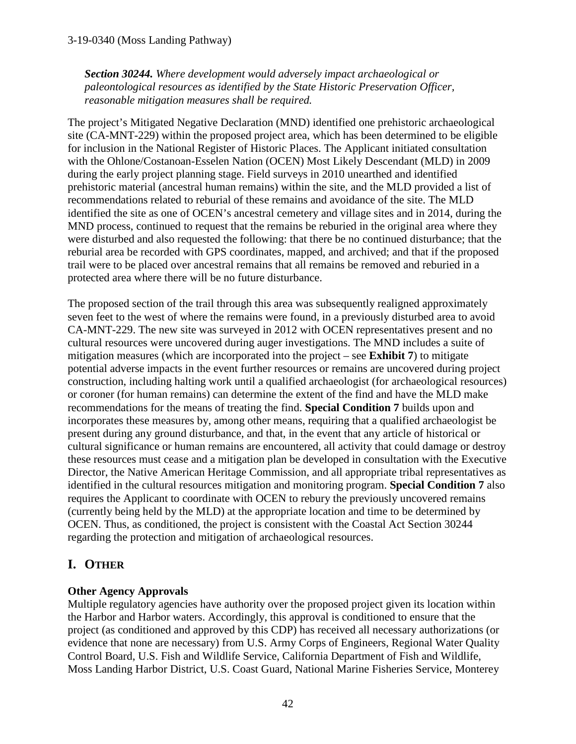*Section 30244. Where development would adversely impact archaeological or paleontological resources as identified by the State Historic Preservation Officer, reasonable mitigation measures shall be required.* 

The project's Mitigated Negative Declaration (MND) identified one prehistoric archaeological site (CA-MNT-229) within the proposed project area, which has been determined to be eligible for inclusion in the National Register of Historic Places. The Applicant initiated consultation with the Ohlone/Costanoan-Esselen Nation (OCEN) Most Likely Descendant (MLD) in 2009 during the early project planning stage. Field surveys in 2010 unearthed and identified prehistoric material (ancestral human remains) within the site, and the MLD provided a list of recommendations related to reburial of these remains and avoidance of the site. The MLD identified the site as one of OCEN's ancestral cemetery and village sites and in 2014, during the MND process, continued to request that the remains be reburied in the original area where they were disturbed and also requested the following: that there be no continued disturbance; that the reburial area be recorded with GPS coordinates, mapped, and archived; and that if the proposed trail were to be placed over ancestral remains that all remains be removed and reburied in a protected area where there will be no future disturbance.

The proposed section of the trail through this area was subsequently realigned approximately seven feet to the west of where the remains were found, in a previously disturbed area to avoid CA-MNT-229. The new site was surveyed in 2012 with OCEN representatives present and no cultural resources were uncovered during auger investigations. The MND includes a suite of mitigation measures (which are incorporated into the project – see **Exhibit 7**) to mitigate potential adverse impacts in the event further resources or remains are uncovered during project construction, including halting work until a qualified archaeologist (for archaeological resources) or coroner (for human remains) can determine the extent of the find and have the MLD make recommendations for the means of treating the find. **Special Condition 7** builds upon and incorporates these measures by, among other means, requiring that a qualified archaeologist be present during any ground disturbance, and that, in the event that any article of historical or cultural significance or human remains are encountered, all activity that could damage or destroy these resources must cease and a mitigation plan be developed in consultation with the Executive Director, the Native American Heritage Commission, and all appropriate tribal representatives as identified in the cultural resources mitigation and monitoring program. **Special Condition 7** also requires the Applicant to coordinate with OCEN to rebury the previously uncovered remains (currently being held by the MLD) at the appropriate location and time to be determined by OCEN. Thus, as conditioned, the project is consistent with the Coastal Act Section 30244 regarding the protection and mitigation of archaeological resources.

# **I. OTHER**

# **Other Agency Approvals**

Multiple regulatory agencies have authority over the proposed project given its location within the Harbor and Harbor waters. Accordingly, this approval is conditioned to ensure that the project (as conditioned and approved by this CDP) has received all necessary authorizations (or evidence that none are necessary) from U.S. Army Corps of Engineers, Regional Water Quality Control Board, U.S. Fish and Wildlife Service, California Department of Fish and Wildlife, Moss Landing Harbor District, U.S. Coast Guard, National Marine Fisheries Service, Monterey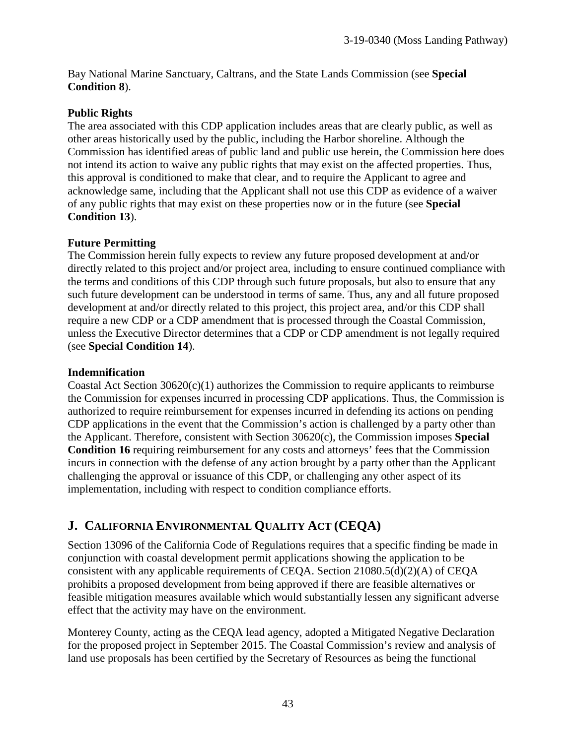Bay National Marine Sanctuary, Caltrans, and the State Lands Commission (see **Special Condition 8**).

### **Public Rights**

The area associated with this CDP application includes areas that are clearly public, as well as other areas historically used by the public, including the Harbor shoreline. Although the Commission has identified areas of public land and public use herein, the Commission here does not intend its action to waive any public rights that may exist on the affected properties. Thus, this approval is conditioned to make that clear, and to require the Applicant to agree and acknowledge same, including that the Applicant shall not use this CDP as evidence of a waiver of any public rights that may exist on these properties now or in the future (see **Special Condition 13**).

### **Future Permitting**

The Commission herein fully expects to review any future proposed development at and/or directly related to this project and/or project area, including to ensure continued compliance with the terms and conditions of this CDP through such future proposals, but also to ensure that any such future development can be understood in terms of same. Thus, any and all future proposed development at and/or directly related to this project, this project area, and/or this CDP shall require a new CDP or a CDP amendment that is processed through the Coastal Commission, unless the Executive Director determines that a CDP or CDP amendment is not legally required (see **Special Condition 14**).

### **Indemnification**

Coastal Act Section  $30620(c)(1)$  authorizes the Commission to require applicants to reimburse the Commission for expenses incurred in processing CDP applications. Thus, the Commission is authorized to require reimbursement for expenses incurred in defending its actions on pending CDP applications in the event that the Commission's action is challenged by a party other than the Applicant. Therefore, consistent with Section 30620(c), the Commission imposes **Special Condition 16** requiring reimbursement for any costs and attorneys' fees that the Commission incurs in connection with the defense of any action brought by a party other than the Applicant challenging the approval or issuance of this CDP, or challenging any other aspect of its implementation, including with respect to condition compliance efforts.

# **J. CALIFORNIA ENVIRONMENTAL QUALITY ACT (CEQA)**

Section 13096 of the California Code of Regulations requires that a specific finding be made in conjunction with coastal development permit applications showing the application to be consistent with any applicable requirements of CEQA. Section 21080.5(d)(2)(A) of CEQA prohibits a proposed development from being approved if there are feasible alternatives or feasible mitigation measures available which would substantially lessen any significant adverse effect that the activity may have on the environment.

Monterey County, acting as the CEQA lead agency, adopted a Mitigated Negative Declaration for the proposed project in September 2015. The Coastal Commission's review and analysis of land use proposals has been certified by the Secretary of Resources as being the functional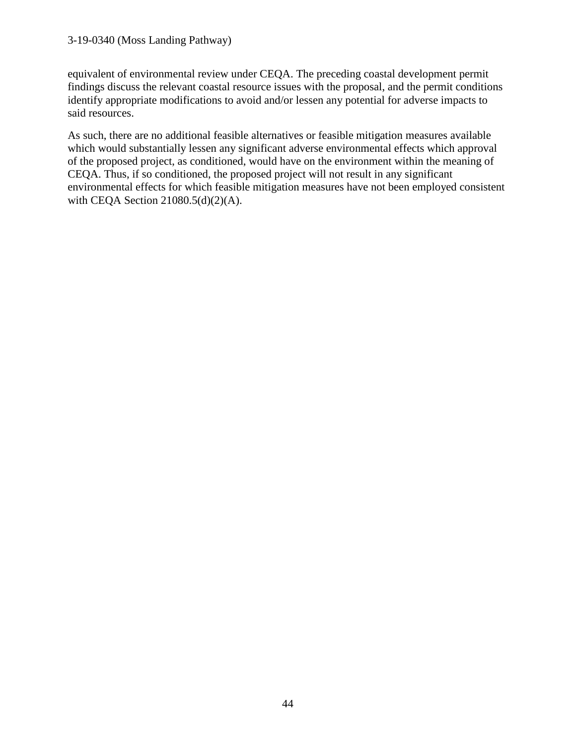#### 3-19-0340 (Moss Landing Pathway)

equivalent of environmental review under CEQA. The preceding coastal development permit findings discuss the relevant coastal resource issues with the proposal, and the permit conditions identify appropriate modifications to avoid and/or lessen any potential for adverse impacts to said resources.

As such, there are no additional feasible alternatives or feasible mitigation measures available which would substantially lessen any significant adverse environmental effects which approval of the proposed project, as conditioned, would have on the environment within the meaning of CEQA. Thus, if so conditioned, the proposed project will not result in any significant environmental effects for which feasible mitigation measures have not been employed consistent with CEQA Section 21080.5(d)(2)(A).